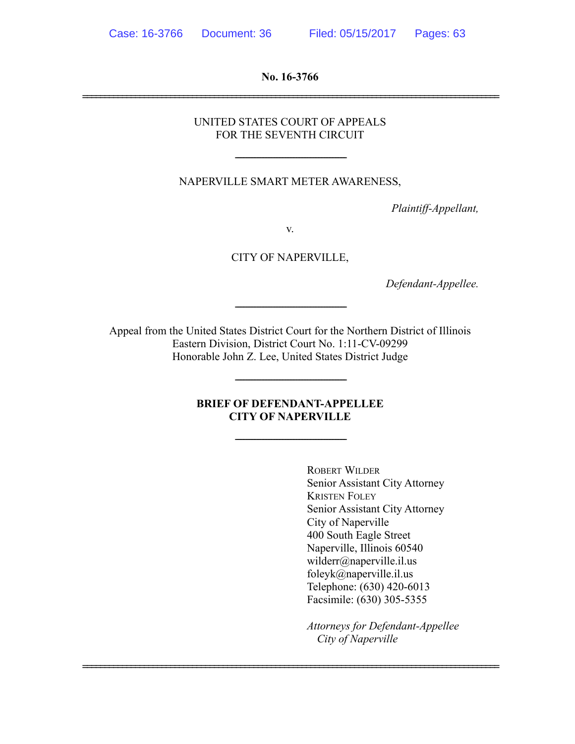**No. 16-3766**  ===============================================================================================

> UNITED STATES COURT OF APPEALS FOR THE SEVENTH CIRCUIT

NAPERVILLE SMART METER AWARENESS,

-----------------------------------------------------------------------

*Plaintiff-Appellant,* 

v.

CITY OF NAPERVILLE,

*Defendant-Appellee.* 

Appeal from the United States District Court for the Northern District of Illinois Eastern Division, District Court No. 1:11-CV-09299 Honorable John Z. Lee, United States District Judge

-----------------------------------------------------------------------

## **BRIEF OF DEFENDANT-APPELLEE CITY OF NAPERVILLE**

-----------------------------------------------------------------------

===============================================================================================

-----------------------------------------------------------------------

ROBERT WILDER Senior Assistant City Attorney KRISTEN FOLEY Senior Assistant City Attorney City of Naperville 400 South Eagle Street Naperville, Illinois 60540 wilderr@naperville.il.us foleyk@naperville.il.us Telephone: (630) 420-6013 Facsimile: (630) 305-5355

*Attorneys for Defendant-Appellee City of Naperville*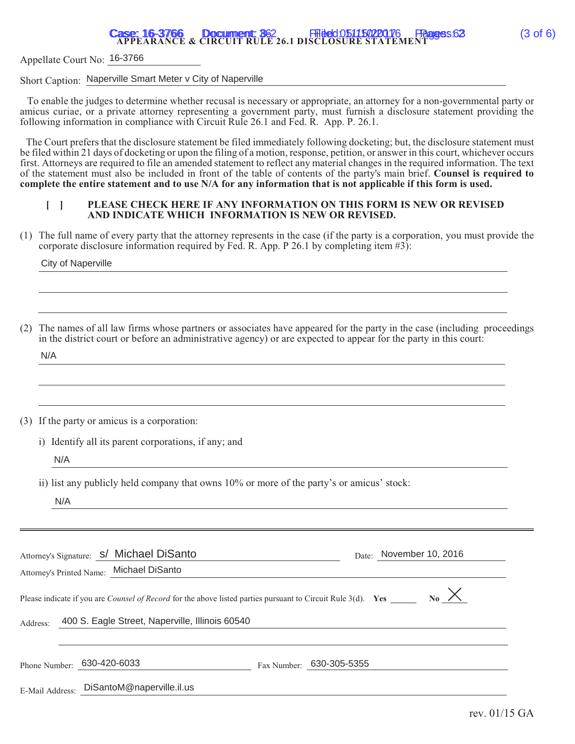# **Case: 16-3766 Document: 362 Filed: 051150220176 Pages: 63** (3 of 6)<br>APPEARANCE & CIRCUIT RULE 26.1 DISCLOSURE STATEMENT

Appellate Court No: 16-3766

Short Caption: Naperville Smart Meter v City of Naperville

 To enable the judges to determine whether recusal is necessary or appropriate, an attorney for a non-governmental party or amicus curiae, or a private attorney representing a government party, must furnish a disclosure statement providing the following information in compliance with Circuit Rule 26.1 and Fed. R. App. P. 26.1.

The Court prefers that the disclosure statement be filed immediately following docketing; but, the disclosure statement must be filed within 21 days of docketing or upon the filing of a motion, response, petition, or answer in this court, whichever occurs first. Attorneys are required to file an amended statement to reflect any material changes in the required information. The text of the statement must also be included in front of the table of contents of the party's main brief. **Counsel is required to complete the entire statement and to use N/A for any information that is not applicable if this form is used.**

#### **[ ] PLEASE CHECK HERE IF ANY INFORMATION ON THIS FORM IS NEW OR REVISED AND INDICATE WHICH INFORMATION IS NEW OR REVISED.**

(1) The full name of every party that the attorney represents in the case (if the party is a corporation, you must provide the corporate disclosure information required by Fed. R. App. P 26.1 by completing item #3):

City of Naperville

| (2) The names of all law firms whose partners or associates have appeared for the party in the case (including proceedings |  |
|----------------------------------------------------------------------------------------------------------------------------|--|
| in the district court or before an administrative agency) or are expected to appear for the party in this court:           |  |

N/A

(3) If the party or amicus is a corporation:

i) Identify all its parent corporations, if any; and

N/A

ii) list any publicly held company that owns 10% or more of the party's or amicus' stock:

N/A

|                 | Attorney's Signature: S/ Michael DiSanto<br>Attorney's Printed Name: Michael DiSanto | November 10, 2016<br>Date:                                                                                                                  |
|-----------------|--------------------------------------------------------------------------------------|---------------------------------------------------------------------------------------------------------------------------------------------|
|                 |                                                                                      | $_{\text{No}}\times$<br>Please indicate if you are <i>Counsel of Record</i> for the above listed parties pursuant to Circuit Rule 3(d). Yes |
| Address:        | 400 S. Eagle Street, Naperville, Illinois 60540                                      |                                                                                                                                             |
| Phone Number:   | 630-420-6033                                                                         | Fax Number: 630-305-5355                                                                                                                    |
| E-Mail Address: | DiSantoM@naperville.il.us                                                            |                                                                                                                                             |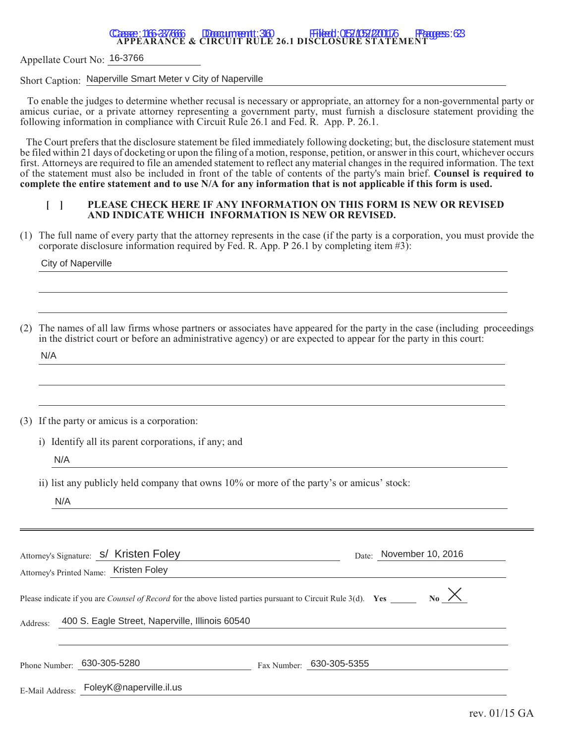# **Casse: 16-37666 Domument: 36 Filed: 05/05/20176 Pages: 63**<br>APPEARANCE & CIRCUIT RULE 26.1 DISCLOSURE STATEMENT

Appellate Court No: 16-3766

Short Caption: Naperville Smart Meter v City of Naperville

 To enable the judges to determine whether recusal is necessary or appropriate, an attorney for a non-governmental party or amicus curiae, or a private attorney representing a government party, must furnish a disclosure statement providing the following information in compliance with Circuit Rule 26.1 and Fed. R. App. P. 26.1.

The Court prefers that the disclosure statement be filed immediately following docketing; but, the disclosure statement must be filed within 21 days of docketing or upon the filing of a motion, response, petition, or answer in this court, whichever occurs first. Attorneys are required to file an amended statement to reflect any material changes in the required information. The text of the statement must also be included in front of the table of contents of the party's main brief. **Counsel is required to complete the entire statement and to use N/A for any information that is not applicable if this form is used.**

#### **[ ] PLEASE CHECK HERE IF ANY INFORMATION ON THIS FORM IS NEW OR REVISED AND INDICATE WHICH INFORMATION IS NEW OR REVISED.**

(1) The full name of every party that the attorney represents in the case (if the party is a corporation, you must provide the corporate disclosure information required by Fed. R. App. P 26.1 by completing item #3):

City of Naperville

| (2) The names of all law firms whose partners or associates have appeared for the party in the case (including proceedings |
|----------------------------------------------------------------------------------------------------------------------------|
| in the district court or before an administrative agency) or are expected to appear for the party in this court:           |

N/A

(3) If the party or amicus is a corporation:

i) Identify all its parent corporations, if any; and

N/A

ii) list any publicly held company that owns 10% or more of the party's or amicus' stock:

N/A

|                 | Attorney's Signature: S/ Kristen Foley<br>Attorney's Printed Name: Kristen Foley                                                                    |                          | Date: November 10, 2016 |
|-----------------|-----------------------------------------------------------------------------------------------------------------------------------------------------|--------------------------|-------------------------|
|                 | Please indicate if you are <i>Counsel of Record</i> for the above listed parties pursuant to Circuit Rule 3(d). Yes ________ No $\overline{\times}$ |                          |                         |
| Address:        | 400 S. Eagle Street, Naperville, Illinois 60540                                                                                                     |                          |                         |
| Phone Number:   | 630-305-5280                                                                                                                                        | Fax Number: 630-305-5355 |                         |
| E-Mail Address: | FoleyK@naperville.il.us                                                                                                                             |                          |                         |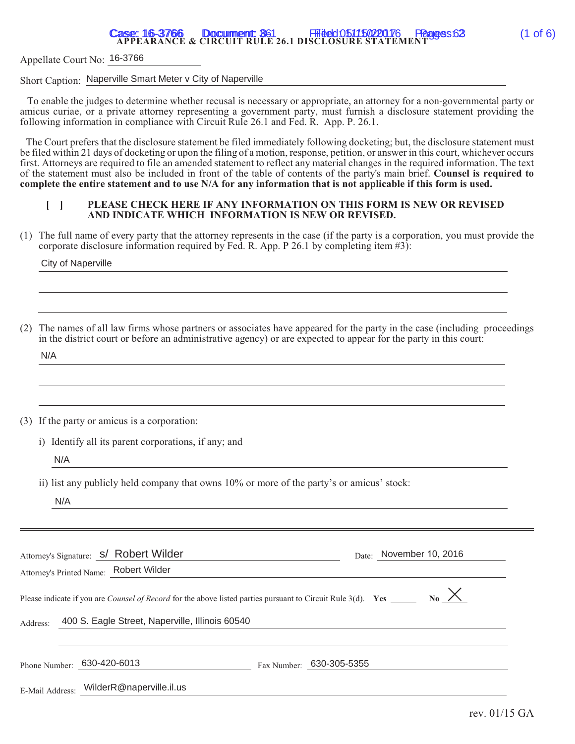# **Case: 16-3766 Document: 361 Filed: 051150220176 Pages: 63** (1 of 6)<br>APPEARANCE & CIRCUIT RULE 26.1 DISCLOSURE STATEMENT

Appellate Court No: 16-3766

Short Caption: Naperville Smart Meter v City of Naperville

 To enable the judges to determine whether recusal is necessary or appropriate, an attorney for a non-governmental party or amicus curiae, or a private attorney representing a government party, must furnish a disclosure statement providing the following information in compliance with Circuit Rule 26.1 and Fed. R. App. P. 26.1.

The Court prefers that the disclosure statement be filed immediately following docketing; but, the disclosure statement must be filed within 21 days of docketing or upon the filing of a motion, response, petition, or answer in this court, whichever occurs first. Attorneys are required to file an amended statement to reflect any material changes in the required information. The text of the statement must also be included in front of the table of contents of the party's main brief. **Counsel is required to complete the entire statement and to use N/A for any information that is not applicable if this form is used.**

#### **[ ] PLEASE CHECK HERE IF ANY INFORMATION ON THIS FORM IS NEW OR REVISED AND INDICATE WHICH INFORMATION IS NEW OR REVISED.**

(1) The full name of every party that the attorney represents in the case (if the party is a corporation, you must provide the corporate disclosure information required by Fed. R. App. P 26.1 by completing item #3):

City of Naperville

| (2) The names of all law firms whose partners or associates have appeared for the party in the case (including proceedings |  |
|----------------------------------------------------------------------------------------------------------------------------|--|
| in the district court or before an administrative agency) or are expected to appear for the party in this court:           |  |

N/A

(3) If the party or amicus is a corporation:

i) Identify all its parent corporations, if any; and

N/A

ii) list any publicly held company that owns 10% or more of the party's or amicus' stock:

N/A

|                 | Attorney's Signature: S/ Robert Wilder<br>Attorney's Printed Name: Robert Wilder | November 10, 2016<br>Date:                                                                                                                   |
|-----------------|----------------------------------------------------------------------------------|----------------------------------------------------------------------------------------------------------------------------------------------|
|                 |                                                                                  | $_{\text{No}} \times$<br>Please indicate if you are <i>Counsel of Record</i> for the above listed parties pursuant to Circuit Rule 3(d). Yes |
| Address:        | 400 S. Eagle Street, Naperville, Illinois 60540                                  |                                                                                                                                              |
| Phone Number:   | 630-420-6013                                                                     | Fax Number: 630-305-5355                                                                                                                     |
| E-Mail Address: | WilderR@naperville.il.us                                                         |                                                                                                                                              |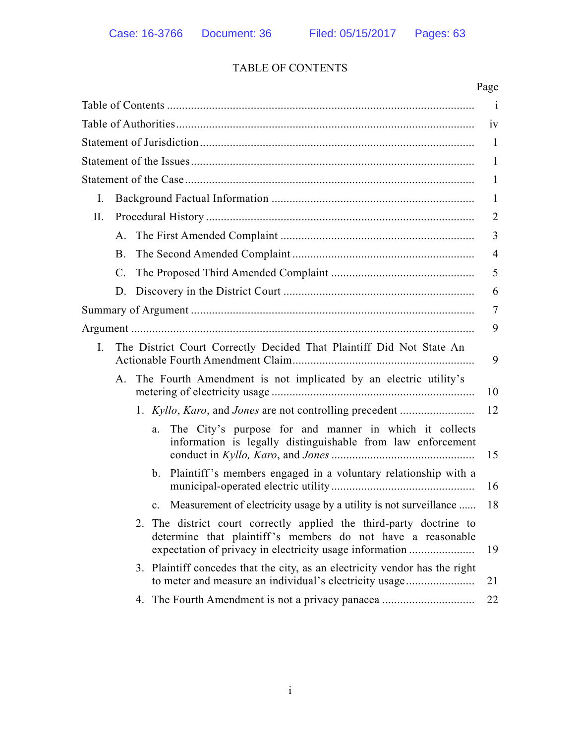# TABLE OF CONTENTS

|     |                |                                                                                                                                                                                               | Page           |
|-----|----------------|-----------------------------------------------------------------------------------------------------------------------------------------------------------------------------------------------|----------------|
|     |                |                                                                                                                                                                                               | $\mathbf{i}$   |
|     |                |                                                                                                                                                                                               | 1V             |
|     |                |                                                                                                                                                                                               | -1             |
|     |                |                                                                                                                                                                                               | $\mathbf{1}$   |
|     |                |                                                                                                                                                                                               | 1              |
| Ι.  |                |                                                                                                                                                                                               | $\mathbf{1}$   |
| II. |                |                                                                                                                                                                                               | $\overline{2}$ |
|     | A.             |                                                                                                                                                                                               | 3              |
|     | B.             |                                                                                                                                                                                               | $\overline{4}$ |
|     | $\mathbf{C}$ . |                                                                                                                                                                                               | 5              |
|     | D.             |                                                                                                                                                                                               | 6              |
|     |                |                                                                                                                                                                                               | 7              |
|     |                |                                                                                                                                                                                               | 9              |
| Ι.  |                | The District Court Correctly Decided That Plaintiff Did Not State An                                                                                                                          | 9              |
|     | A.             | The Fourth Amendment is not implicated by an electric utility's                                                                                                                               | 10             |
|     |                | 1. Kyllo, Karo, and Jones are not controlling precedent                                                                                                                                       | 12             |
|     |                | The City's purpose for and manner in which it collects<br>a.<br>information is legally distinguishable from law enforcement                                                                   | 15             |
|     |                | b. Plaintiff's members engaged in a voluntary relationship with a                                                                                                                             | 16             |
|     |                | c. Measurement of electricity usage by a utility is not surveillance                                                                                                                          | 18             |
|     |                | 2. The district court correctly applied the third-party doctrine to<br>determine that plaintiff's members do not have a reasonable<br>expectation of privacy in electricity usage information | 19             |
|     |                | 3. Plaintiff concedes that the city, as an electricity vendor has the right<br>to meter and measure an individual's electricity usage                                                         | 21             |
|     |                | 4. The Fourth Amendment is not a privacy panacea                                                                                                                                              | 22             |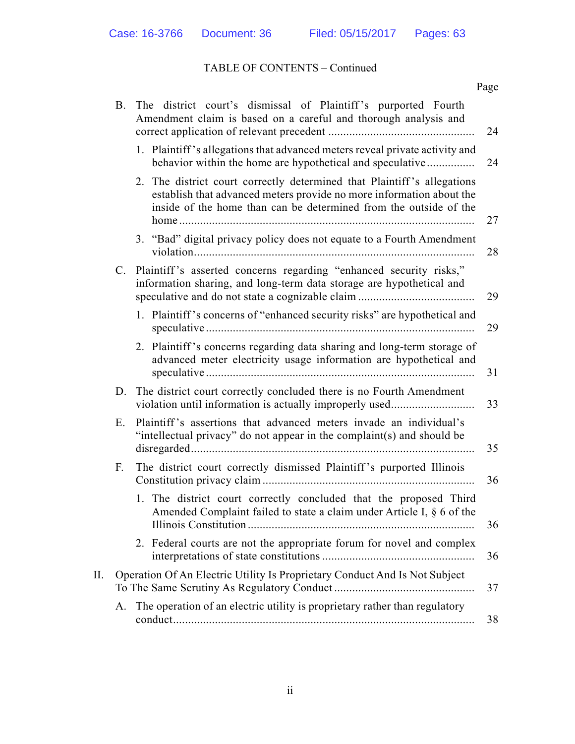## TABLE OF CONTENTS – Continued

|     |    |                                                                                                                                                                                                                      | Page |
|-----|----|----------------------------------------------------------------------------------------------------------------------------------------------------------------------------------------------------------------------|------|
|     | B. | The district court's dismissal of Plaintiff's purported Fourth<br>Amendment claim is based on a careful and thorough analysis and                                                                                    | 24   |
|     |    | 1. Plaintiff's allegations that advanced meters reveal private activity and<br>behavior within the home are hypothetical and speculative                                                                             | 24   |
|     |    | 2. The district court correctly determined that Plaintiff's allegations<br>establish that advanced meters provide no more information about the<br>inside of the home than can be determined from the outside of the | 27   |
|     |    | 3. "Bad" digital privacy policy does not equate to a Fourth Amendment                                                                                                                                                | 28   |
|     |    | C. Plaintiff's asserted concerns regarding "enhanced security risks,"<br>information sharing, and long-term data storage are hypothetical and                                                                        | 29   |
|     |    | 1. Plaintiff's concerns of "enhanced security risks" are hypothetical and                                                                                                                                            | 29   |
|     |    | 2. Plaintiff's concerns regarding data sharing and long-term storage of<br>advanced meter electricity usage information are hypothetical and                                                                         | 31   |
|     | D. | The district court correctly concluded there is no Fourth Amendment<br>violation until information is actually improperly used                                                                                       | 33   |
|     | Е. | Plaintiff's assertions that advanced meters invade an individual's<br>"intellectual privacy" do not appear in the complaint(s) and should be                                                                         | 35   |
|     | F. | The district court correctly dismissed Plaintiff's purported Illinois                                                                                                                                                | 36   |
|     |    | 1. The district court correctly concluded that the proposed Third<br>Amended Complaint failed to state a claim under Article I, § 6 of the                                                                           | 36   |
|     |    | 2. Federal courts are not the appropriate forum for novel and complex                                                                                                                                                | 36   |
| II. |    | Operation Of An Electric Utility Is Proprietary Conduct And Is Not Subject                                                                                                                                           | 37   |
|     | А. | The operation of an electric utility is proprietary rather than regulatory                                                                                                                                           | 38   |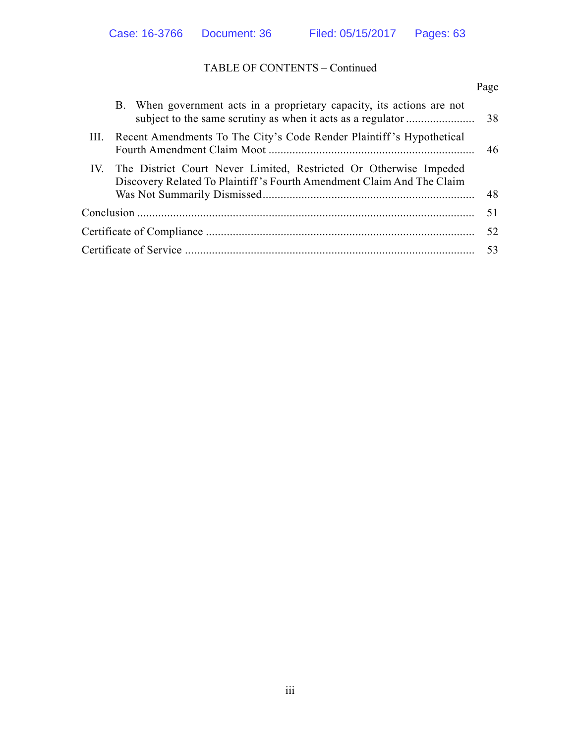# TABLE OF CONTENTS – Continued

|  |                                                                                                                                                | Page |
|--|------------------------------------------------------------------------------------------------------------------------------------------------|------|
|  | B. When government acts in a proprietary capacity, its actions are not                                                                         |      |
|  | III. Recent Amendments To The City's Code Render Plaintiff's Hypothetical                                                                      |      |
|  | IV. The District Court Never Limited, Restricted Or Otherwise Impeded<br>Discovery Related To Plaintiff's Fourth Amendment Claim And The Claim | 48   |
|  |                                                                                                                                                | 51   |
|  |                                                                                                                                                | 52   |
|  |                                                                                                                                                | 53   |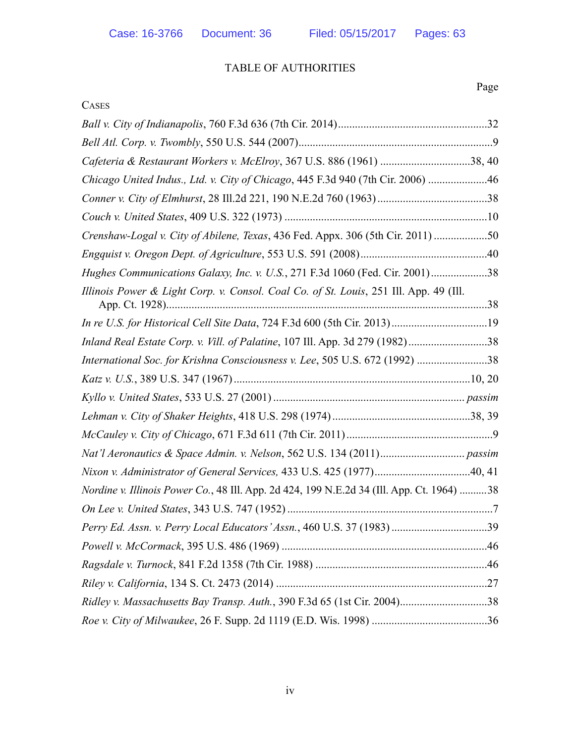# TABLE OF AUTHORITIES

| <b>CASES</b>                                                                              |
|-------------------------------------------------------------------------------------------|
|                                                                                           |
|                                                                                           |
| Cafeteria & Restaurant Workers v. McElroy, 367 U.S. 886 (1961) 38, 40                     |
| Chicago United Indus., Ltd. v. City of Chicago, 445 F.3d 940 (7th Cir. 2006) 46           |
|                                                                                           |
|                                                                                           |
| Crenshaw-Logal v. City of Abilene, Texas, 436 Fed. Appx. 306 (5th Cir. 2011) 50           |
|                                                                                           |
| Hughes Communications Galaxy, Inc. v. U.S., 271 F.3d 1060 (Fed. Cir. 2001)38              |
| Illinois Power & Light Corp. v. Consol. Coal Co. of St. Louis, 251 Ill. App. 49 (Ill.     |
| In re U.S. for Historical Cell Site Data, 724 F.3d 600 (5th Cir. 2013)19                  |
| Inland Real Estate Corp. v. Vill. of Palatine, 107 Ill. App. 3d 279 (1982)38              |
| International Soc. for Krishna Consciousness v. Lee, 505 U.S. 672 (1992) 38               |
|                                                                                           |
|                                                                                           |
|                                                                                           |
|                                                                                           |
|                                                                                           |
| Nixon v. Administrator of General Services, 433 U.S. 425 (1977)40, 41                     |
| Nordine v. Illinois Power Co., 48 Ill. App. 2d 424, 199 N.E.2d 34 (Ill. App. Ct. 1964) 38 |
|                                                                                           |
|                                                                                           |
|                                                                                           |
|                                                                                           |
|                                                                                           |
| Ridley v. Massachusetts Bay Transp. Auth., 390 F.3d 65 (1st Cir. 2004)38                  |
|                                                                                           |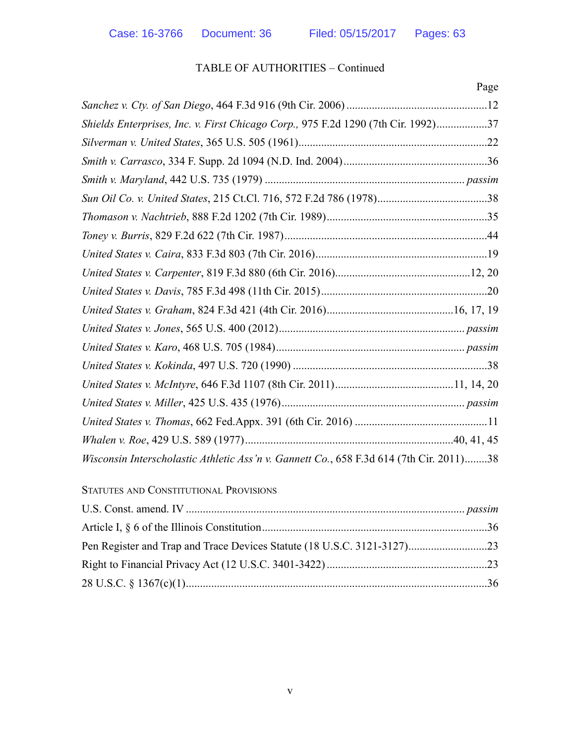## TABLE OF AUTHORITIES – Continued

|                                                                                         | Page |
|-----------------------------------------------------------------------------------------|------|
|                                                                                         |      |
| Shields Enterprises, Inc. v. First Chicago Corp., 975 F.2d 1290 (7th Cir. 1992)37       |      |
|                                                                                         |      |
|                                                                                         |      |
|                                                                                         |      |
|                                                                                         |      |
|                                                                                         |      |
|                                                                                         |      |
|                                                                                         |      |
|                                                                                         |      |
|                                                                                         |      |
|                                                                                         |      |
|                                                                                         |      |
|                                                                                         |      |
|                                                                                         |      |
|                                                                                         |      |
|                                                                                         |      |
|                                                                                         |      |
|                                                                                         |      |
| Wisconsin Interscholastic Athletic Ass'n v. Gannett Co., 658 F.3d 614 (7th Cir. 2011)38 |      |

#### STATUTES AND CONSTITUTIONAL PROVISIONS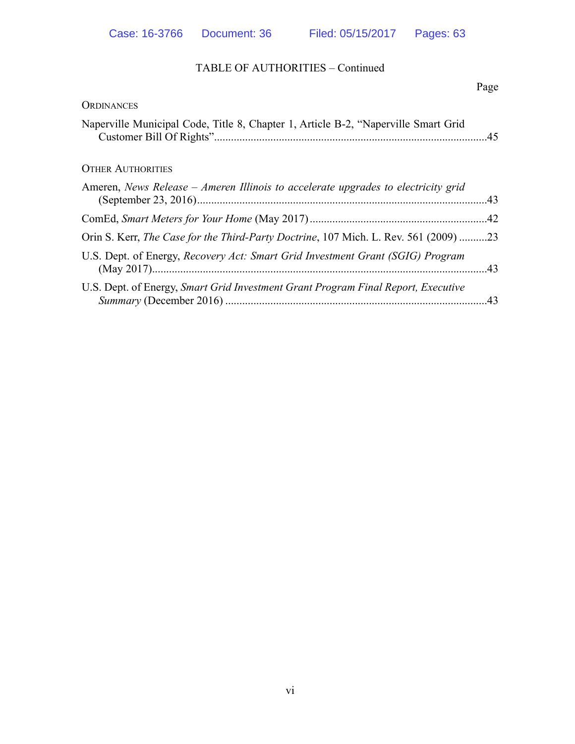## TABLE OF AUTHORITIES – Continued

|                                                                                              | Page |
|----------------------------------------------------------------------------------------------|------|
| ORDINANCES                                                                                   |      |
| Naperville Municipal Code, Title 8, Chapter 1, Article B-2, "Naperville Smart Grid           |      |
| <b>OTHER AUTHORITIES</b>                                                                     |      |
| Ameren, News Release – Ameren Illinois to accelerate upgrades to electricity grid            |      |
|                                                                                              |      |
| Orin S. Kerr, <i>The Case for the Third-Party Doctrine</i> , 107 Mich. L. Rev. 561 (2009) 23 |      |
| U.S. Dept. of Energy, Recovery Act: Smart Grid Investment Grant (SGIG) Program               |      |
| U.S. Dept. of Energy, Smart Grid Investment Grant Program Final Report, Executive            | .43  |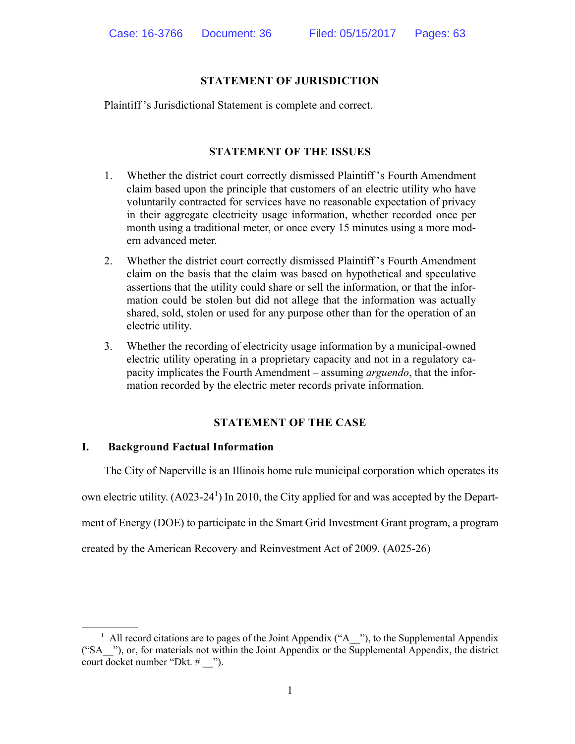#### **STATEMENT OF JURISDICTION**

Plaintiff 's Jurisdictional Statement is complete and correct.

#### **STATEMENT OF THE ISSUES**

- 1. Whether the district court correctly dismissed Plaintiff 's Fourth Amendment claim based upon the principle that customers of an electric utility who have voluntarily contracted for services have no reasonable expectation of privacy in their aggregate electricity usage information, whether recorded once per month using a traditional meter, or once every 15 minutes using a more modern advanced meter.
- 2. Whether the district court correctly dismissed Plaintiff 's Fourth Amendment claim on the basis that the claim was based on hypothetical and speculative assertions that the utility could share or sell the information, or that the information could be stolen but did not allege that the information was actually shared, sold, stolen or used for any purpose other than for the operation of an electric utility.
- 3. Whether the recording of electricity usage information by a municipal-owned electric utility operating in a proprietary capacity and not in a regulatory capacity implicates the Fourth Amendment – assuming *arguendo*, that the information recorded by the electric meter records private information.

#### **STATEMENT OF THE CASE**

#### **I. Background Factual Information**

 The City of Naperville is an Illinois home rule municipal corporation which operates its own electric utility. (A023-24<sup>1</sup>) In 2010, the City applied for and was accepted by the Department of Energy (DOE) to participate in the Smart Grid Investment Grant program, a program created by the American Recovery and Reinvestment Act of 2009. (A025-26)

<sup>&</sup>lt;sup>1</sup> All record citations are to pages of the Joint Appendix ("A  $\rightarrow$ "), to the Supplemental Appendix ("SA\_\_"), or, for materials not within the Joint Appendix or the Supplemental Appendix, the district court docket number "Dkt. # \_\_").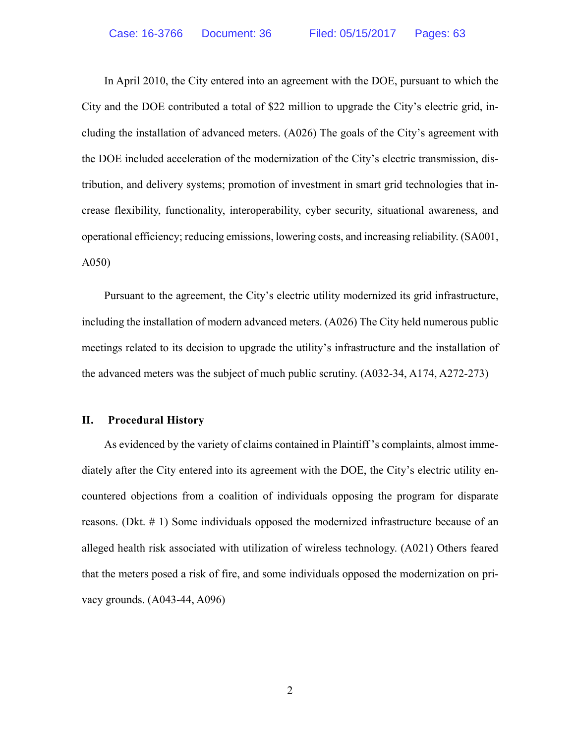In April 2010, the City entered into an agreement with the DOE, pursuant to which the City and the DOE contributed a total of \$22 million to upgrade the City's electric grid, including the installation of advanced meters. (A026) The goals of the City's agreement with the DOE included acceleration of the modernization of the City's electric transmission, distribution, and delivery systems; promotion of investment in smart grid technologies that increase flexibility, functionality, interoperability, cyber security, situational awareness, and operational efficiency; reducing emissions, lowering costs, and increasing reliability. (SA001, A050)

 Pursuant to the agreement, the City's electric utility modernized its grid infrastructure, including the installation of modern advanced meters. (A026) The City held numerous public meetings related to its decision to upgrade the utility's infrastructure and the installation of the advanced meters was the subject of much public scrutiny. (A032-34, A174, A272-273)

#### **II. Procedural History**

 As evidenced by the variety of claims contained in Plaintiff 's complaints, almost immediately after the City entered into its agreement with the DOE, the City's electric utility encountered objections from a coalition of individuals opposing the program for disparate reasons. (Dkt. # 1) Some individuals opposed the modernized infrastructure because of an alleged health risk associated with utilization of wireless technology. (A021) Others feared that the meters posed a risk of fire, and some individuals opposed the modernization on privacy grounds. (A043-44, A096)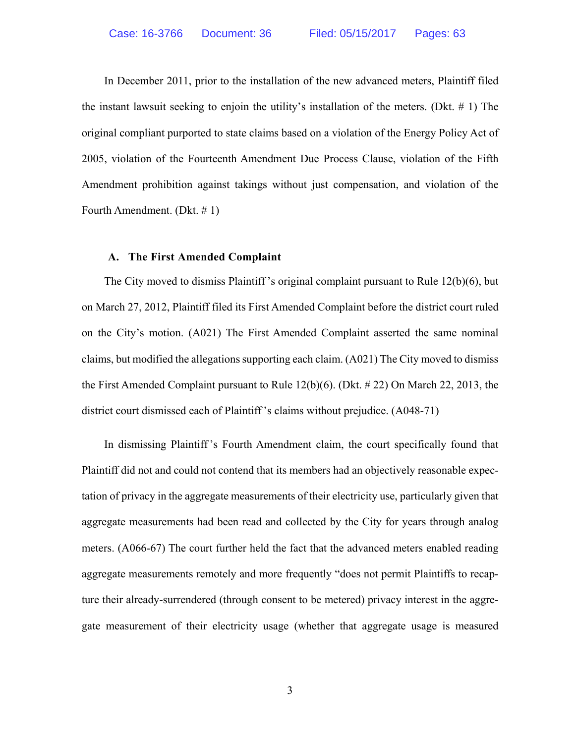In December 2011, prior to the installation of the new advanced meters, Plaintiff filed the instant lawsuit seeking to enjoin the utility's installation of the meters. (Dkt.  $\#$  1) The original compliant purported to state claims based on a violation of the Energy Policy Act of 2005, violation of the Fourteenth Amendment Due Process Clause, violation of the Fifth Amendment prohibition against takings without just compensation, and violation of the Fourth Amendment. (Dkt. # 1)

#### **A. The First Amended Complaint**

 The City moved to dismiss Plaintiff 's original complaint pursuant to Rule 12(b)(6), but on March 27, 2012, Plaintiff filed its First Amended Complaint before the district court ruled on the City's motion. (A021) The First Amended Complaint asserted the same nominal claims, but modified the allegations supporting each claim. (A021) The City moved to dismiss the First Amended Complaint pursuant to Rule 12(b)(6). (Dkt. # 22) On March 22, 2013, the district court dismissed each of Plaintiff 's claims without prejudice. (A048-71)

 In dismissing Plaintiff 's Fourth Amendment claim, the court specifically found that Plaintiff did not and could not contend that its members had an objectively reasonable expectation of privacy in the aggregate measurements of their electricity use, particularly given that aggregate measurements had been read and collected by the City for years through analog meters. (A066-67) The court further held the fact that the advanced meters enabled reading aggregate measurements remotely and more frequently "does not permit Plaintiffs to recapture their already-surrendered (through consent to be metered) privacy interest in the aggregate measurement of their electricity usage (whether that aggregate usage is measured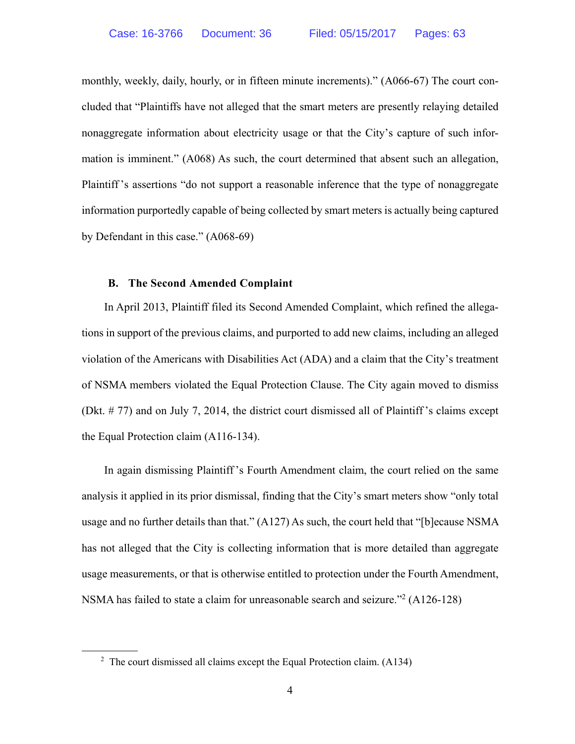monthly, weekly, daily, hourly, or in fifteen minute increments)." (A066-67) The court concluded that "Plaintiffs have not alleged that the smart meters are presently relaying detailed nonaggregate information about electricity usage or that the City's capture of such information is imminent." (A068) As such, the court determined that absent such an allegation, Plaintiff 's assertions "do not support a reasonable inference that the type of nonaggregate information purportedly capable of being collected by smart meters is actually being captured by Defendant in this case." (A068-69)

#### **B. The Second Amended Complaint**

 In April 2013, Plaintiff filed its Second Amended Complaint, which refined the allegations in support of the previous claims, and purported to add new claims, including an alleged violation of the Americans with Disabilities Act (ADA) and a claim that the City's treatment of NSMA members violated the Equal Protection Clause. The City again moved to dismiss (Dkt. # 77) and on July 7, 2014, the district court dismissed all of Plaintiff 's claims except the Equal Protection claim (A116-134).

 In again dismissing Plaintiff 's Fourth Amendment claim, the court relied on the same analysis it applied in its prior dismissal, finding that the City's smart meters show "only total usage and no further details than that." (A127) As such, the court held that "[b]ecause NSMA has not alleged that the City is collecting information that is more detailed than aggregate usage measurements, or that is otherwise entitled to protection under the Fourth Amendment, NSMA has failed to state a claim for unreasonable search and seizure."<sup>2</sup> (A126-128)

<sup>&</sup>lt;sup>2</sup> The court dismissed all claims except the Equal Protection claim.  $(A134)$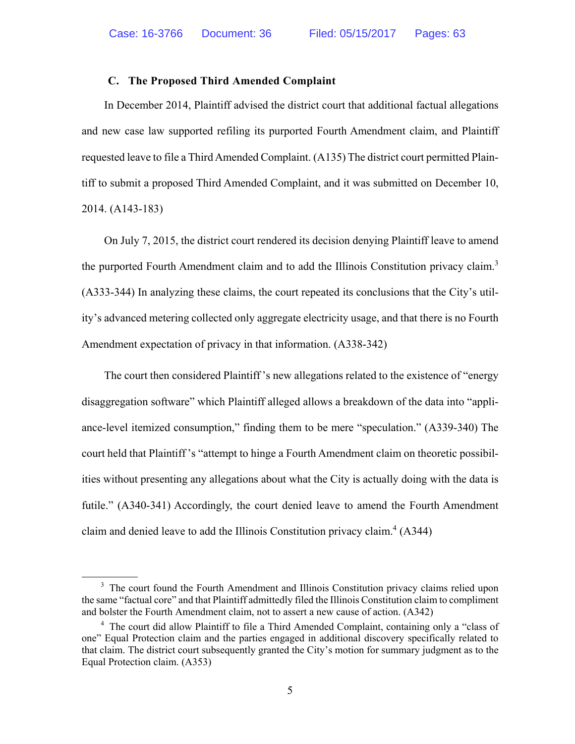#### **C. The Proposed Third Amended Complaint**

 In December 2014, Plaintiff advised the district court that additional factual allegations and new case law supported refiling its purported Fourth Amendment claim, and Plaintiff requested leave to file a Third Amended Complaint. (A135) The district court permitted Plaintiff to submit a proposed Third Amended Complaint, and it was submitted on December 10, 2014. (A143-183)

 On July 7, 2015, the district court rendered its decision denying Plaintiff leave to amend the purported Fourth Amendment claim and to add the Illinois Constitution privacy claim.<sup>3</sup> (A333-344) In analyzing these claims, the court repeated its conclusions that the City's utility's advanced metering collected only aggregate electricity usage, and that there is no Fourth Amendment expectation of privacy in that information. (A338-342)

 The court then considered Plaintiff 's new allegations related to the existence of "energy disaggregation software" which Plaintiff alleged allows a breakdown of the data into "appliance-level itemized consumption," finding them to be mere "speculation." (A339-340) The court held that Plaintiff 's "attempt to hinge a Fourth Amendment claim on theoretic possibilities without presenting any allegations about what the City is actually doing with the data is futile." (A340-341) Accordingly, the court denied leave to amend the Fourth Amendment claim and denied leave to add the Illinois Constitution privacy claim. $<sup>4</sup>$  (A344)</sup>

<sup>&</sup>lt;sup>3</sup> The court found the Fourth Amendment and Illinois Constitution privacy claims relied upon the same "factual core" and that Plaintiff admittedly filed the Illinois Constitution claim to compliment and bolster the Fourth Amendment claim, not to assert a new cause of action. (A342)

<sup>&</sup>lt;sup>4</sup> The court did allow Plaintiff to file a Third Amended Complaint, containing only a "class of one" Equal Protection claim and the parties engaged in additional discovery specifically related to that claim. The district court subsequently granted the City's motion for summary judgment as to the Equal Protection claim. (A353)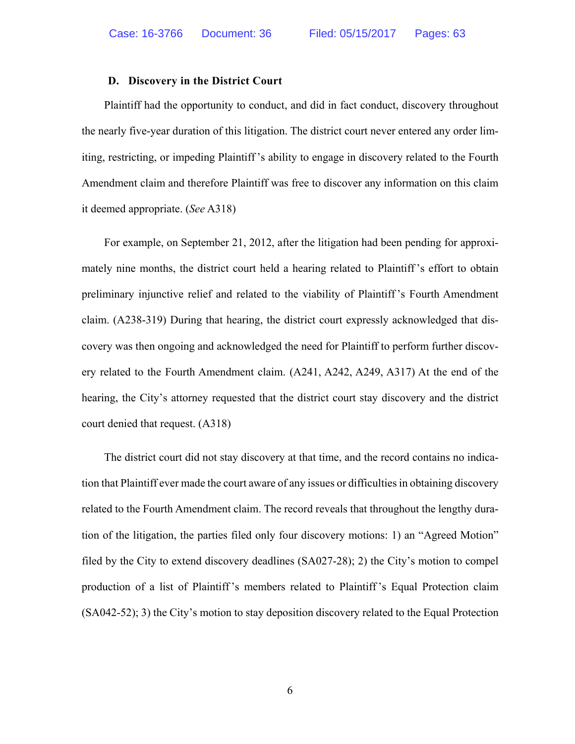#### **D. Discovery in the District Court**

 Plaintiff had the opportunity to conduct, and did in fact conduct, discovery throughout the nearly five-year duration of this litigation. The district court never entered any order limiting, restricting, or impeding Plaintiff 's ability to engage in discovery related to the Fourth Amendment claim and therefore Plaintiff was free to discover any information on this claim it deemed appropriate. (*See* A318)

 For example, on September 21, 2012, after the litigation had been pending for approximately nine months, the district court held a hearing related to Plaintiff 's effort to obtain preliminary injunctive relief and related to the viability of Plaintiff 's Fourth Amendment claim. (A238-319) During that hearing, the district court expressly acknowledged that discovery was then ongoing and acknowledged the need for Plaintiff to perform further discovery related to the Fourth Amendment claim. (A241, A242, A249, A317) At the end of the hearing, the City's attorney requested that the district court stay discovery and the district court denied that request. (A318)

 The district court did not stay discovery at that time, and the record contains no indication that Plaintiff ever made the court aware of any issues or difficulties in obtaining discovery related to the Fourth Amendment claim. The record reveals that throughout the lengthy duration of the litigation, the parties filed only four discovery motions: 1) an "Agreed Motion" filed by the City to extend discovery deadlines (SA027-28); 2) the City's motion to compel production of a list of Plaintiff 's members related to Plaintiff 's Equal Protection claim (SA042-52); 3) the City's motion to stay deposition discovery related to the Equal Protection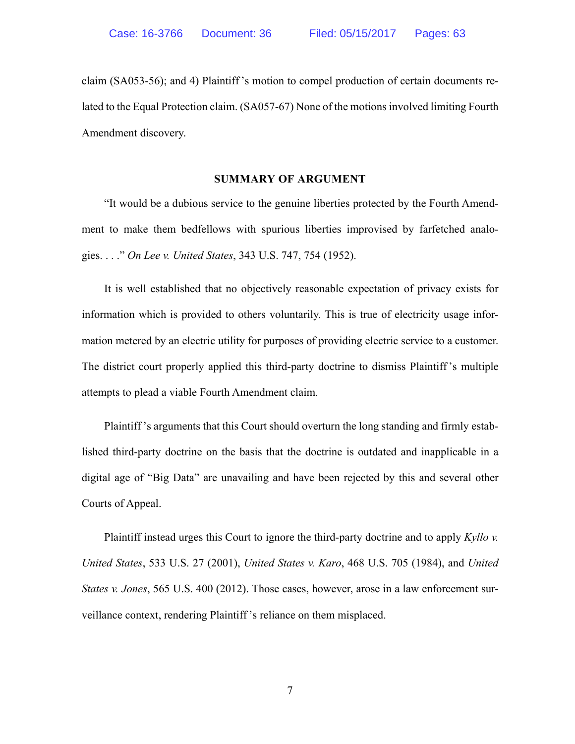claim (SA053-56); and 4) Plaintiff 's motion to compel production of certain documents related to the Equal Protection claim. (SA057-67) None of the motions involved limiting Fourth Amendment discovery.

#### **SUMMARY OF ARGUMENT**

 "It would be a dubious service to the genuine liberties protected by the Fourth Amendment to make them bedfellows with spurious liberties improvised by farfetched analogies. . . ." *On Lee v. United States*, 343 U.S. 747, 754 (1952).

 It is well established that no objectively reasonable expectation of privacy exists for information which is provided to others voluntarily. This is true of electricity usage information metered by an electric utility for purposes of providing electric service to a customer. The district court properly applied this third-party doctrine to dismiss Plaintiff 's multiple attempts to plead a viable Fourth Amendment claim.

 Plaintiff 's arguments that this Court should overturn the long standing and firmly established third-party doctrine on the basis that the doctrine is outdated and inapplicable in a digital age of "Big Data" are unavailing and have been rejected by this and several other Courts of Appeal.

 Plaintiff instead urges this Court to ignore the third-party doctrine and to apply *Kyllo v. United States*, 533 U.S. 27 (2001), *United States v. Karo*, 468 U.S. 705 (1984), and *United States v. Jones*, 565 U.S. 400 (2012). Those cases, however, arose in a law enforcement surveillance context, rendering Plaintiff 's reliance on them misplaced.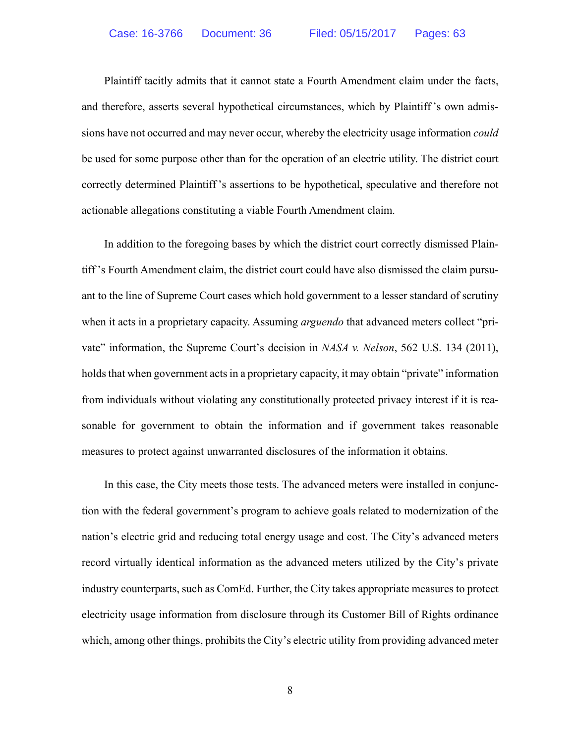Plaintiff tacitly admits that it cannot state a Fourth Amendment claim under the facts, and therefore, asserts several hypothetical circumstances, which by Plaintiff 's own admissions have not occurred and may never occur, whereby the electricity usage information *could* be used for some purpose other than for the operation of an electric utility. The district court correctly determined Plaintiff 's assertions to be hypothetical, speculative and therefore not actionable allegations constituting a viable Fourth Amendment claim.

 In addition to the foregoing bases by which the district court correctly dismissed Plaintiff 's Fourth Amendment claim, the district court could have also dismissed the claim pursuant to the line of Supreme Court cases which hold government to a lesser standard of scrutiny when it acts in a proprietary capacity. Assuming *arguendo* that advanced meters collect "private" information, the Supreme Court's decision in *NASA v. Nelson*, 562 U.S. 134 (2011), holds that when government acts in a proprietary capacity, it may obtain "private" information from individuals without violating any constitutionally protected privacy interest if it is reasonable for government to obtain the information and if government takes reasonable measures to protect against unwarranted disclosures of the information it obtains.

 In this case, the City meets those tests. The advanced meters were installed in conjunction with the federal government's program to achieve goals related to modernization of the nation's electric grid and reducing total energy usage and cost. The City's advanced meters record virtually identical information as the advanced meters utilized by the City's private industry counterparts, such as ComEd. Further, the City takes appropriate measures to protect electricity usage information from disclosure through its Customer Bill of Rights ordinance which, among other things, prohibits the City's electric utility from providing advanced meter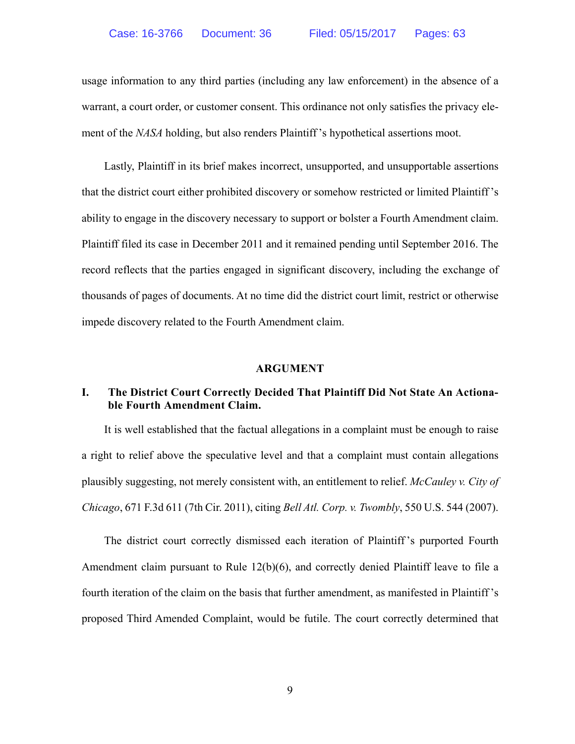usage information to any third parties (including any law enforcement) in the absence of a warrant, a court order, or customer consent. This ordinance not only satisfies the privacy element of the *NASA* holding, but also renders Plaintiff 's hypothetical assertions moot.

 Lastly, Plaintiff in its brief makes incorrect, unsupported, and unsupportable assertions that the district court either prohibited discovery or somehow restricted or limited Plaintiff 's ability to engage in the discovery necessary to support or bolster a Fourth Amendment claim. Plaintiff filed its case in December 2011 and it remained pending until September 2016. The record reflects that the parties engaged in significant discovery, including the exchange of thousands of pages of documents. At no time did the district court limit, restrict or otherwise impede discovery related to the Fourth Amendment claim.

#### **ARGUMENT**

## **I. The District Court Correctly Decided That Plaintiff Did Not State An Actionable Fourth Amendment Claim.**

 It is well established that the factual allegations in a complaint must be enough to raise a right to relief above the speculative level and that a complaint must contain allegations plausibly suggesting, not merely consistent with, an entitlement to relief. *McCauley v. City of Chicago*, 671 F.3d 611 (7th Cir. 2011), citing *Bell Atl. Corp. v. Twombly*, 550 U.S. 544 (2007).

 The district court correctly dismissed each iteration of Plaintiff 's purported Fourth Amendment claim pursuant to Rule 12(b)(6), and correctly denied Plaintiff leave to file a fourth iteration of the claim on the basis that further amendment, as manifested in Plaintiff 's proposed Third Amended Complaint, would be futile. The court correctly determined that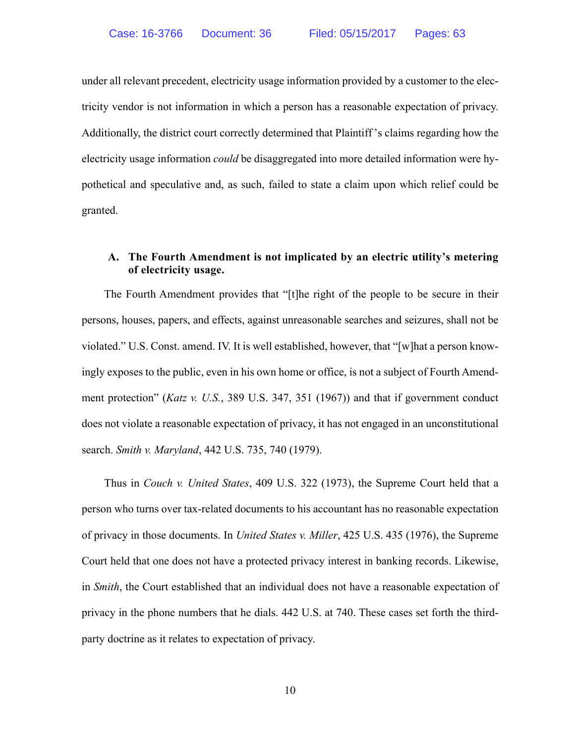under all relevant precedent, electricity usage information provided by a customer to the electricity vendor is not information in which a person has a reasonable expectation of privacy. Additionally, the district court correctly determined that Plaintiff 's claims regarding how the electricity usage information *could* be disaggregated into more detailed information were hypothetical and speculative and, as such, failed to state a claim upon which relief could be granted.

#### **A. The Fourth Amendment is not implicated by an electric utility's metering of electricity usage.**

 The Fourth Amendment provides that "[t]he right of the people to be secure in their persons, houses, papers, and effects, against unreasonable searches and seizures, shall not be violated." U.S. Const. amend. IV. It is well established, however, that "[w]hat a person knowingly exposes to the public, even in his own home or office, is not a subject of Fourth Amendment protection" (*Katz v. U.S.*, 389 U.S. 347, 351 (1967)) and that if government conduct does not violate a reasonable expectation of privacy, it has not engaged in an unconstitutional search. *Smith v. Maryland*, 442 U.S. 735, 740 (1979).

 Thus in *Couch v. United States*, 409 U.S. 322 (1973), the Supreme Court held that a person who turns over tax-related documents to his accountant has no reasonable expectation of privacy in those documents. In *United States v. Miller*, 425 U.S. 435 (1976), the Supreme Court held that one does not have a protected privacy interest in banking records. Likewise, in *Smith*, the Court established that an individual does not have a reasonable expectation of privacy in the phone numbers that he dials. 442 U.S. at 740. These cases set forth the thirdparty doctrine as it relates to expectation of privacy.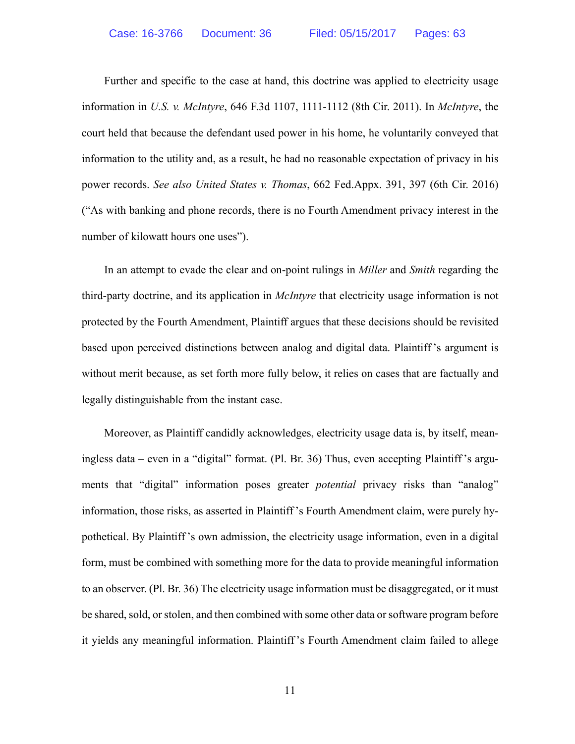Further and specific to the case at hand, this doctrine was applied to electricity usage information in *U.S. v. McIntyre*, 646 F.3d 1107, 1111-1112 (8th Cir. 2011). In *McIntyre*, the court held that because the defendant used power in his home, he voluntarily conveyed that information to the utility and, as a result, he had no reasonable expectation of privacy in his power records. *See also United States v. Thomas*, 662 Fed.Appx. 391, 397 (6th Cir. 2016) ("As with banking and phone records, there is no Fourth Amendment privacy interest in the number of kilowatt hours one uses").

 In an attempt to evade the clear and on-point rulings in *Miller* and *Smith* regarding the third-party doctrine, and its application in *McIntyre* that electricity usage information is not protected by the Fourth Amendment, Plaintiff argues that these decisions should be revisited based upon perceived distinctions between analog and digital data. Plaintiff 's argument is without merit because, as set forth more fully below, it relies on cases that are factually and legally distinguishable from the instant case.

 Moreover, as Plaintiff candidly acknowledges, electricity usage data is, by itself, meaningless data – even in a "digital" format. (Pl. Br. 36) Thus, even accepting Plaintiff 's arguments that "digital" information poses greater *potential* privacy risks than "analog" information, those risks, as asserted in Plaintiff 's Fourth Amendment claim, were purely hypothetical. By Plaintiff 's own admission, the electricity usage information, even in a digital form, must be combined with something more for the data to provide meaningful information to an observer. (Pl. Br. 36) The electricity usage information must be disaggregated, or it must be shared, sold, or stolen, and then combined with some other data or software program before it yields any meaningful information. Plaintiff 's Fourth Amendment claim failed to allege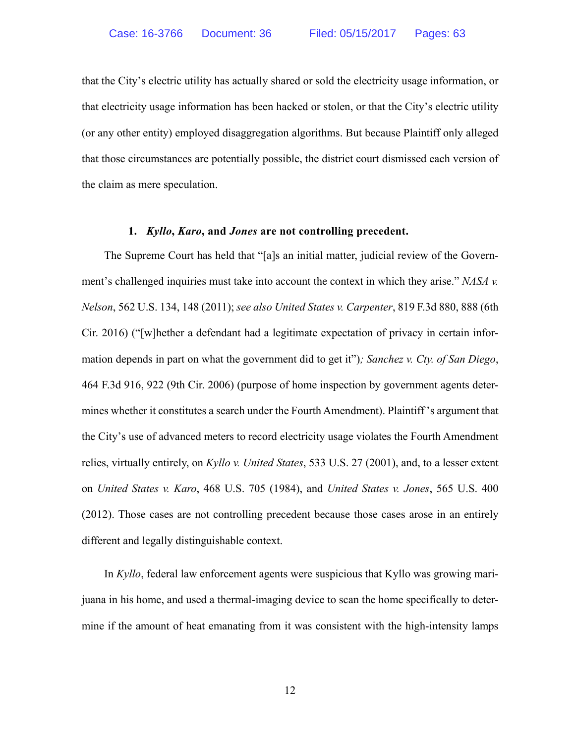that the City's electric utility has actually shared or sold the electricity usage information, or that electricity usage information has been hacked or stolen, or that the City's electric utility (or any other entity) employed disaggregation algorithms. But because Plaintiff only alleged that those circumstances are potentially possible, the district court dismissed each version of the claim as mere speculation.

#### **1.** *Kyllo***,** *Karo***, and** *Jones* **are not controlling precedent.**

 The Supreme Court has held that "[a]s an initial matter, judicial review of the Government's challenged inquiries must take into account the context in which they arise." *NASA v. Nelson*, 562 U.S. 134, 148 (2011); *see also United States v. Carpenter*, 819 F.3d 880, 888 (6th Cir. 2016) ("[w]hether a defendant had a legitimate expectation of privacy in certain information depends in part on what the government did to get it")*; Sanchez v. Cty. of San Diego*, 464 F.3d 916, 922 (9th Cir. 2006) (purpose of home inspection by government agents determines whether it constitutes a search under the Fourth Amendment). Plaintiff 's argument that the City's use of advanced meters to record electricity usage violates the Fourth Amendment relies, virtually entirely, on *Kyllo v. United States*, 533 U.S. 27 (2001), and, to a lesser extent on *United States v. Karo*, 468 U.S. 705 (1984), and *United States v. Jones*, 565 U.S. 400 (2012). Those cases are not controlling precedent because those cases arose in an entirely different and legally distinguishable context.

 In *Kyllo*, federal law enforcement agents were suspicious that Kyllo was growing marijuana in his home, and used a thermal-imaging device to scan the home specifically to determine if the amount of heat emanating from it was consistent with the high-intensity lamps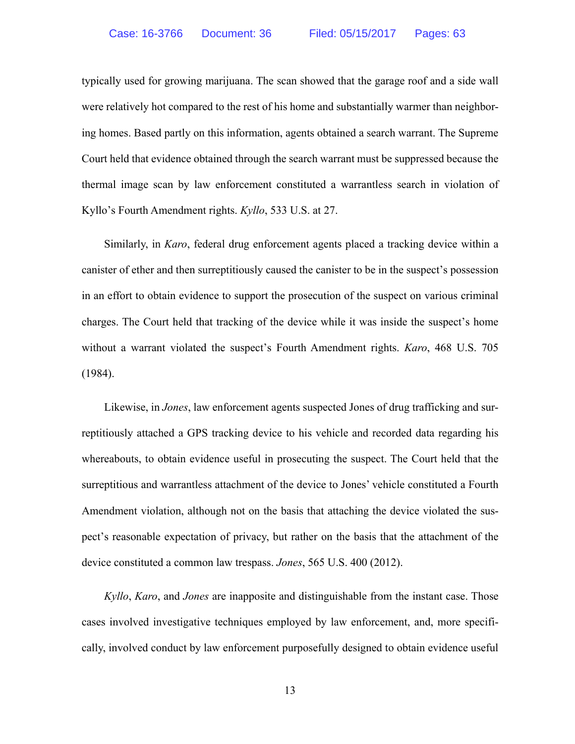typically used for growing marijuana. The scan showed that the garage roof and a side wall were relatively hot compared to the rest of his home and substantially warmer than neighboring homes. Based partly on this information, agents obtained a search warrant. The Supreme Court held that evidence obtained through the search warrant must be suppressed because the thermal image scan by law enforcement constituted a warrantless search in violation of Kyllo's Fourth Amendment rights. *Kyllo*, 533 U.S. at 27.

 Similarly, in *Karo*, federal drug enforcement agents placed a tracking device within a canister of ether and then surreptitiously caused the canister to be in the suspect's possession in an effort to obtain evidence to support the prosecution of the suspect on various criminal charges. The Court held that tracking of the device while it was inside the suspect's home without a warrant violated the suspect's Fourth Amendment rights. *Karo*, 468 U.S. 705 (1984).

 Likewise, in *Jones*, law enforcement agents suspected Jones of drug trafficking and surreptitiously attached a GPS tracking device to his vehicle and recorded data regarding his whereabouts, to obtain evidence useful in prosecuting the suspect. The Court held that the surreptitious and warrantless attachment of the device to Jones' vehicle constituted a Fourth Amendment violation, although not on the basis that attaching the device violated the suspect's reasonable expectation of privacy, but rather on the basis that the attachment of the device constituted a common law trespass. *Jones*, 565 U.S. 400 (2012).

*Kyllo*, *Karo*, and *Jones* are inapposite and distinguishable from the instant case. Those cases involved investigative techniques employed by law enforcement, and, more specifically, involved conduct by law enforcement purposefully designed to obtain evidence useful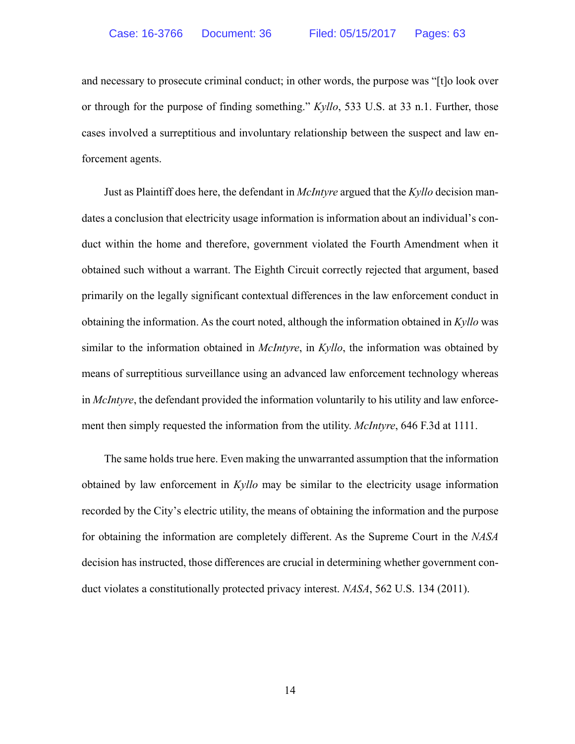and necessary to prosecute criminal conduct; in other words, the purpose was "[t]o look over or through for the purpose of finding something." *Kyllo*, 533 U.S. at 33 n.1. Further, those cases involved a surreptitious and involuntary relationship between the suspect and law enforcement agents.

 Just as Plaintiff does here, the defendant in *McIntyre* argued that the *Kyllo* decision mandates a conclusion that electricity usage information is information about an individual's conduct within the home and therefore, government violated the Fourth Amendment when it obtained such without a warrant. The Eighth Circuit correctly rejected that argument, based primarily on the legally significant contextual differences in the law enforcement conduct in obtaining the information. As the court noted, although the information obtained in *Kyllo* was similar to the information obtained in *McIntyre*, in *Kyllo*, the information was obtained by means of surreptitious surveillance using an advanced law enforcement technology whereas in *McIntyre*, the defendant provided the information voluntarily to his utility and law enforcement then simply requested the information from the utility. *McIntyre*, 646 F.3d at 1111.

 The same holds true here. Even making the unwarranted assumption that the information obtained by law enforcement in *Kyllo* may be similar to the electricity usage information recorded by the City's electric utility, the means of obtaining the information and the purpose for obtaining the information are completely different. As the Supreme Court in the *NASA* decision has instructed, those differences are crucial in determining whether government conduct violates a constitutionally protected privacy interest. *NASA*, 562 U.S. 134 (2011).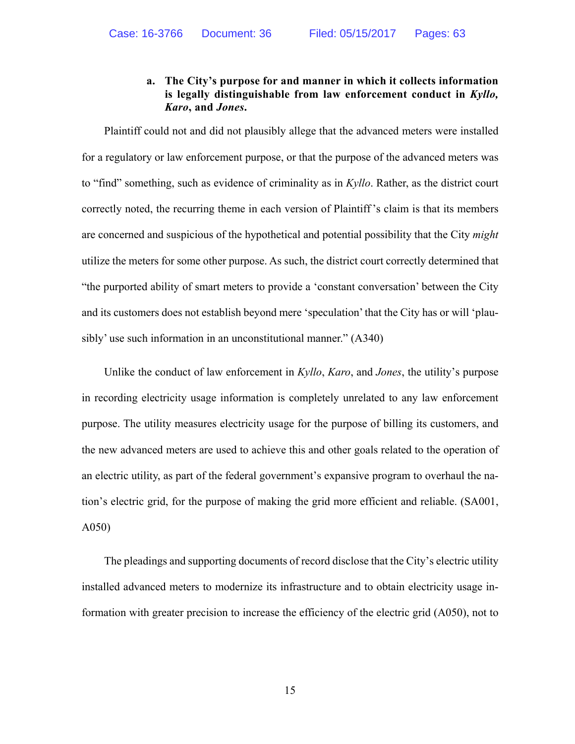## **a. The City's purpose for and manner in which it collects information is legally distinguishable from law enforcement conduct in** *Kyllo, Karo***, and** *Jones***.**

 Plaintiff could not and did not plausibly allege that the advanced meters were installed for a regulatory or law enforcement purpose, or that the purpose of the advanced meters was to "find" something, such as evidence of criminality as in *Kyllo*. Rather, as the district court correctly noted, the recurring theme in each version of Plaintiff 's claim is that its members are concerned and suspicious of the hypothetical and potential possibility that the City *might* utilize the meters for some other purpose. As such, the district court correctly determined that "the purported ability of smart meters to provide a 'constant conversation' between the City and its customers does not establish beyond mere 'speculation' that the City has or will 'plausibly' use such information in an unconstitutional manner." (A340)

 Unlike the conduct of law enforcement in *Kyllo*, *Karo*, and *Jones*, the utility's purpose in recording electricity usage information is completely unrelated to any law enforcement purpose. The utility measures electricity usage for the purpose of billing its customers, and the new advanced meters are used to achieve this and other goals related to the operation of an electric utility, as part of the federal government's expansive program to overhaul the nation's electric grid, for the purpose of making the grid more efficient and reliable. (SA001, A050)

 The pleadings and supporting documents of record disclose that the City's electric utility installed advanced meters to modernize its infrastructure and to obtain electricity usage information with greater precision to increase the efficiency of the electric grid (A050), not to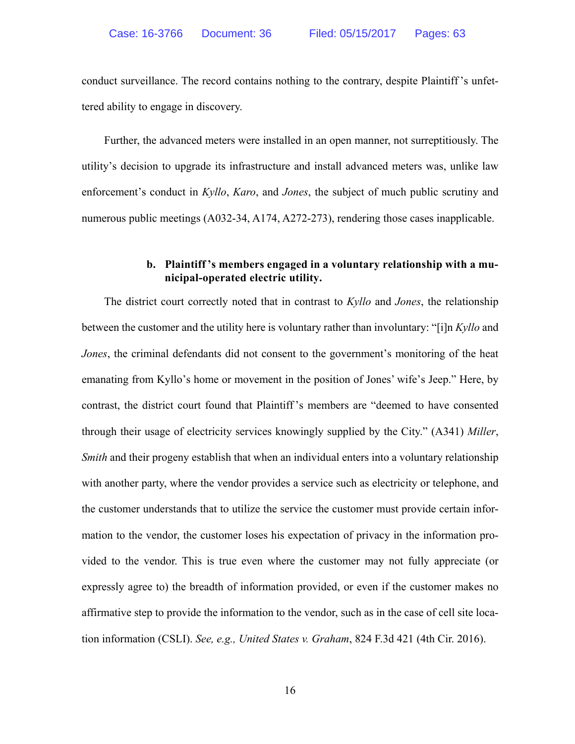conduct surveillance. The record contains nothing to the contrary, despite Plaintiff 's unfettered ability to engage in discovery.

 Further, the advanced meters were installed in an open manner, not surreptitiously. The utility's decision to upgrade its infrastructure and install advanced meters was, unlike law enforcement's conduct in *Kyllo*, *Karo*, and *Jones*, the subject of much public scrutiny and numerous public meetings (A032-34, A174, A272-273), rendering those cases inapplicable.

## **b. Plaintiff 's members engaged in a voluntary relationship with a municipal-operated electric utility.**

 The district court correctly noted that in contrast to *Kyllo* and *Jones*, the relationship between the customer and the utility here is voluntary rather than involuntary: "[i]n *Kyllo* and *Jones*, the criminal defendants did not consent to the government's monitoring of the heat emanating from Kyllo's home or movement in the position of Jones' wife's Jeep." Here, by contrast, the district court found that Plaintiff 's members are "deemed to have consented through their usage of electricity services knowingly supplied by the City." (A341) *Miller*, *Smith* and their progeny establish that when an individual enters into a voluntary relationship with another party, where the vendor provides a service such as electricity or telephone, and the customer understands that to utilize the service the customer must provide certain information to the vendor, the customer loses his expectation of privacy in the information provided to the vendor. This is true even where the customer may not fully appreciate (or expressly agree to) the breadth of information provided, or even if the customer makes no affirmative step to provide the information to the vendor, such as in the case of cell site location information (CSLI). *See, e.g., United States v. Graham*, 824 F.3d 421 (4th Cir. 2016).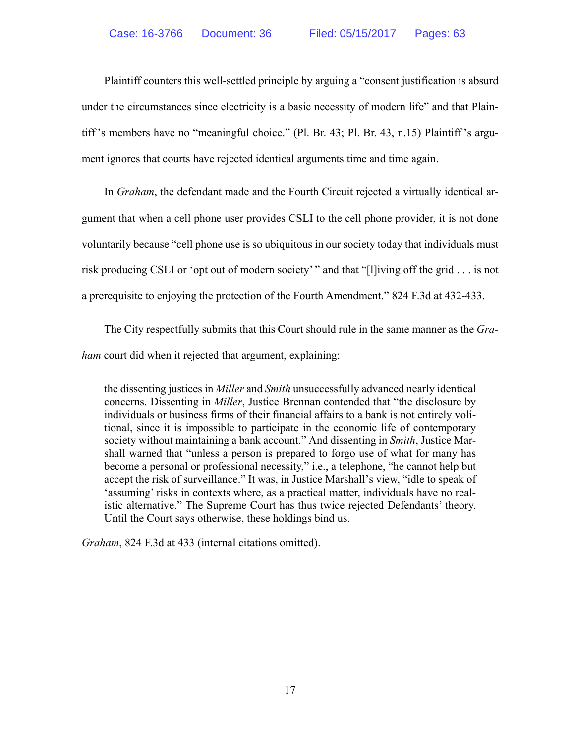Plaintiff counters this well-settled principle by arguing a "consent justification is absurd under the circumstances since electricity is a basic necessity of modern life" and that Plaintiff 's members have no "meaningful choice." (Pl. Br. 43; Pl. Br. 43, n.15) Plaintiff 's argument ignores that courts have rejected identical arguments time and time again.

 In *Graham*, the defendant made and the Fourth Circuit rejected a virtually identical argument that when a cell phone user provides CSLI to the cell phone provider, it is not done voluntarily because "cell phone use is so ubiquitous in our society today that individuals must risk producing CSLI or 'opt out of modern society' " and that "[l]iving off the grid . . . is not a prerequisite to enjoying the protection of the Fourth Amendment." 824 F.3d at 432-433.

 The City respectfully submits that this Court should rule in the same manner as the *Graham* court did when it rejected that argument, explaining:

the dissenting justices in *Miller* and *Smith* unsuccessfully advanced nearly identical concerns. Dissenting in *Miller*, Justice Brennan contended that "the disclosure by individuals or business firms of their financial affairs to a bank is not entirely volitional, since it is impossible to participate in the economic life of contemporary society without maintaining a bank account." And dissenting in *Smith*, Justice Marshall warned that "unless a person is prepared to forgo use of what for many has become a personal or professional necessity," i.e., a telephone, "he cannot help but accept the risk of surveillance." It was, in Justice Marshall's view, "idle to speak of 'assuming' risks in contexts where, as a practical matter, individuals have no realistic alternative." The Supreme Court has thus twice rejected Defendants' theory. Until the Court says otherwise, these holdings bind us.

*Graham*, 824 F.3d at 433 (internal citations omitted).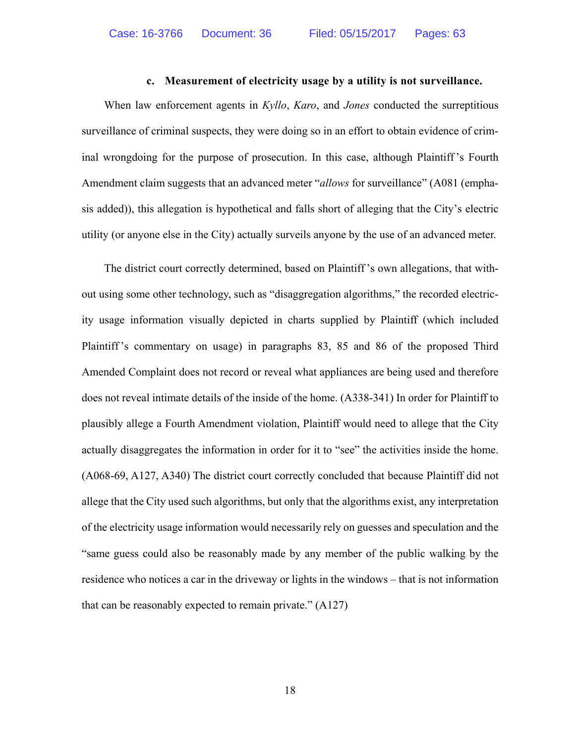#### **c. Measurement of electricity usage by a utility is not surveillance.**

 When law enforcement agents in *Kyllo*, *Karo*, and *Jones* conducted the surreptitious surveillance of criminal suspects, they were doing so in an effort to obtain evidence of criminal wrongdoing for the purpose of prosecution. In this case, although Plaintiff 's Fourth Amendment claim suggests that an advanced meter "*allows* for surveillance" (A081 (emphasis added)), this allegation is hypothetical and falls short of alleging that the City's electric utility (or anyone else in the City) actually surveils anyone by the use of an advanced meter.

 The district court correctly determined, based on Plaintiff 's own allegations, that without using some other technology, such as "disaggregation algorithms," the recorded electricity usage information visually depicted in charts supplied by Plaintiff (which included Plaintiff 's commentary on usage) in paragraphs 83, 85 and 86 of the proposed Third Amended Complaint does not record or reveal what appliances are being used and therefore does not reveal intimate details of the inside of the home. (A338-341) In order for Plaintiff to plausibly allege a Fourth Amendment violation, Plaintiff would need to allege that the City actually disaggregates the information in order for it to "see" the activities inside the home. (A068-69, A127, A340) The district court correctly concluded that because Plaintiff did not allege that the City used such algorithms, but only that the algorithms exist, any interpretation of the electricity usage information would necessarily rely on guesses and speculation and the "same guess could also be reasonably made by any member of the public walking by the residence who notices a car in the driveway or lights in the windows – that is not information that can be reasonably expected to remain private." (A127)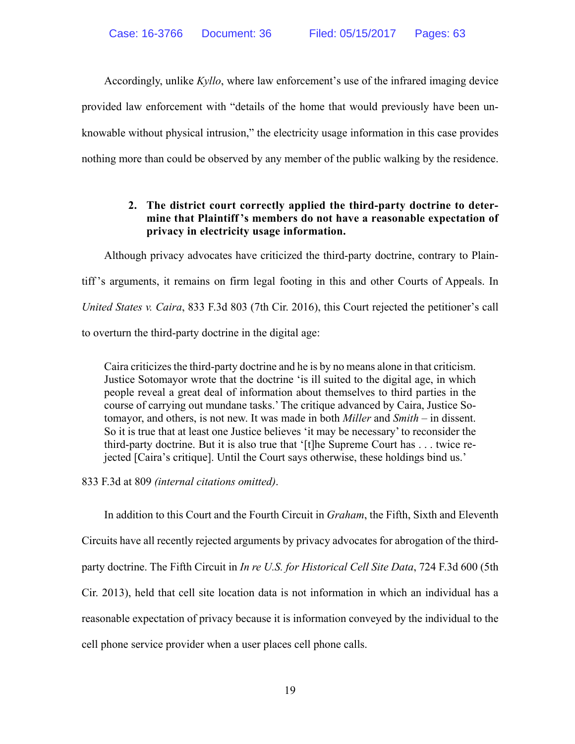Accordingly, unlike *Kyllo*, where law enforcement's use of the infrared imaging device provided law enforcement with "details of the home that would previously have been unknowable without physical intrusion," the electricity usage information in this case provides nothing more than could be observed by any member of the public walking by the residence.

## **2. The district court correctly applied the third-party doctrine to determine that Plaintiff 's members do not have a reasonable expectation of privacy in electricity usage information.**

 Although privacy advocates have criticized the third-party doctrine, contrary to Plaintiff 's arguments, it remains on firm legal footing in this and other Courts of Appeals. In *United States v. Caira*, 833 F.3d 803 (7th Cir. 2016), this Court rejected the petitioner's call to overturn the third-party doctrine in the digital age:

Caira criticizes the third-party doctrine and he is by no means alone in that criticism. Justice Sotomayor wrote that the doctrine 'is ill suited to the digital age, in which people reveal a great deal of information about themselves to third parties in the course of carrying out mundane tasks.' The critique advanced by Caira, Justice Sotomayor, and others, is not new. It was made in both *Miller* and *Smith* – in dissent. So it is true that at least one Justice believes 'it may be necessary' to reconsider the third-party doctrine. But it is also true that '[t]he Supreme Court has . . . twice rejected [Caira's critique]. Until the Court says otherwise, these holdings bind us.'

833 F.3d at 809 *(internal citations omitted)*.

 In addition to this Court and the Fourth Circuit in *Graham*, the Fifth, Sixth and Eleventh Circuits have all recently rejected arguments by privacy advocates for abrogation of the thirdparty doctrine. The Fifth Circuit in *In re U.S. for Historical Cell Site Data*, 724 F.3d 600 (5th Cir. 2013), held that cell site location data is not information in which an individual has a reasonable expectation of privacy because it is information conveyed by the individual to the cell phone service provider when a user places cell phone calls.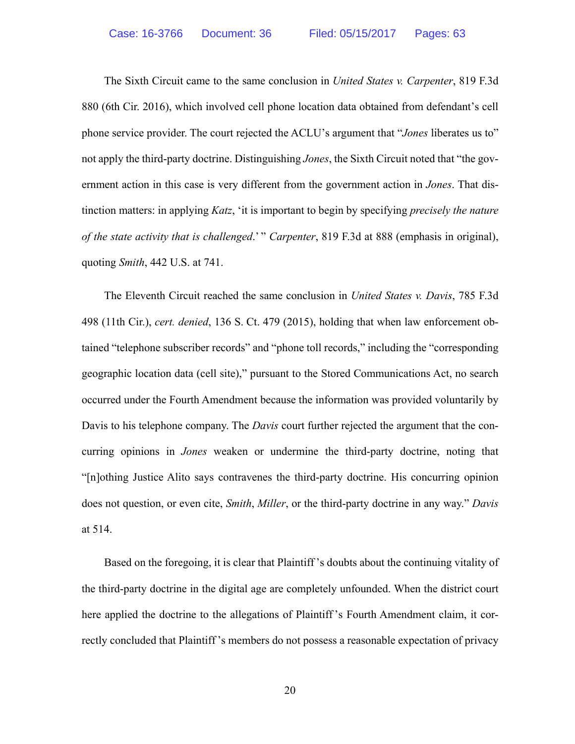The Sixth Circuit came to the same conclusion in *United States v. Carpenter*, 819 F.3d 880 (6th Cir. 2016), which involved cell phone location data obtained from defendant's cell phone service provider. The court rejected the ACLU's argument that "*Jones* liberates us to" not apply the third-party doctrine. Distinguishing *Jones*, the Sixth Circuit noted that "the government action in this case is very different from the government action in *Jones*. That distinction matters: in applying *Katz*, 'it is important to begin by specifying *precisely the nature of the state activity that is challenged*.' " *Carpenter*, 819 F.3d at 888 (emphasis in original), quoting *Smith*, 442 U.S. at 741.

 The Eleventh Circuit reached the same conclusion in *United States v. Davis*, 785 F.3d 498 (11th Cir.), *cert. denied*, 136 S. Ct. 479 (2015), holding that when law enforcement obtained "telephone subscriber records" and "phone toll records," including the "corresponding geographic location data (cell site)," pursuant to the Stored Communications Act, no search occurred under the Fourth Amendment because the information was provided voluntarily by Davis to his telephone company. The *Davis* court further rejected the argument that the concurring opinions in *Jones* weaken or undermine the third-party doctrine, noting that "[n]othing Justice Alito says contravenes the third-party doctrine. His concurring opinion does not question, or even cite, *Smith*, *Miller*, or the third-party doctrine in any way." *Davis* at 514.

 Based on the foregoing, it is clear that Plaintiff 's doubts about the continuing vitality of the third-party doctrine in the digital age are completely unfounded. When the district court here applied the doctrine to the allegations of Plaintiff 's Fourth Amendment claim, it correctly concluded that Plaintiff 's members do not possess a reasonable expectation of privacy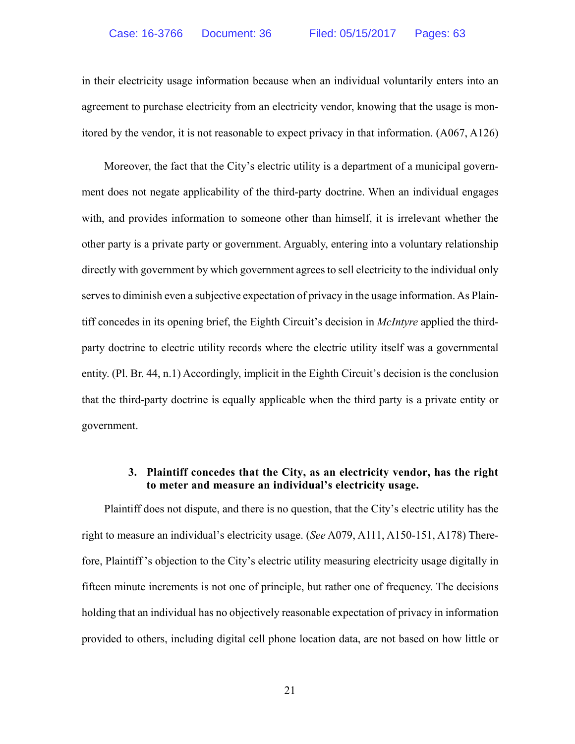in their electricity usage information because when an individual voluntarily enters into an agreement to purchase electricity from an electricity vendor, knowing that the usage is monitored by the vendor, it is not reasonable to expect privacy in that information. (A067, A126)

 Moreover, the fact that the City's electric utility is a department of a municipal government does not negate applicability of the third-party doctrine. When an individual engages with, and provides information to someone other than himself, it is irrelevant whether the other party is a private party or government. Arguably, entering into a voluntary relationship directly with government by which government agrees to sell electricity to the individual only serves to diminish even a subjective expectation of privacy in the usage information. As Plaintiff concedes in its opening brief, the Eighth Circuit's decision in *McIntyre* applied the thirdparty doctrine to electric utility records where the electric utility itself was a governmental entity. (Pl. Br. 44, n.1) Accordingly, implicit in the Eighth Circuit's decision is the conclusion that the third-party doctrine is equally applicable when the third party is a private entity or government.

## **3. Plaintiff concedes that the City, as an electricity vendor, has the right to meter and measure an individual's electricity usage.**

 Plaintiff does not dispute, and there is no question, that the City's electric utility has the right to measure an individual's electricity usage. (*See* A079, A111, A150-151, A178) Therefore, Plaintiff 's objection to the City's electric utility measuring electricity usage digitally in fifteen minute increments is not one of principle, but rather one of frequency. The decisions holding that an individual has no objectively reasonable expectation of privacy in information provided to others, including digital cell phone location data, are not based on how little or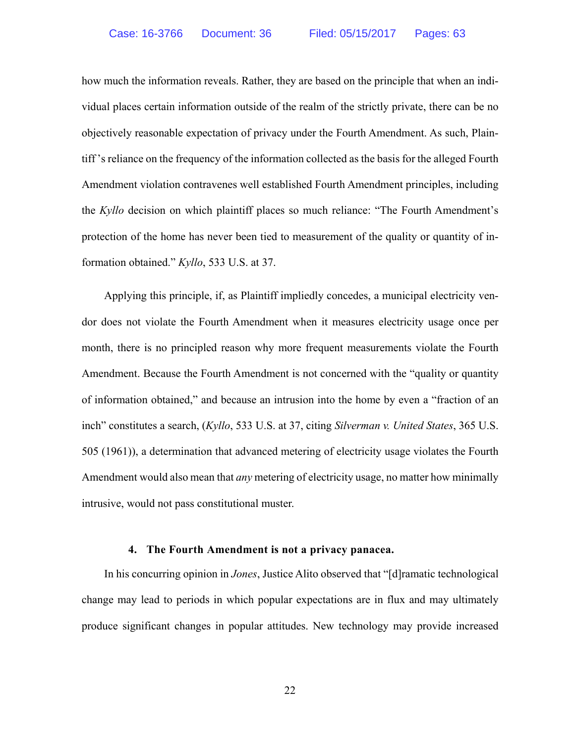how much the information reveals. Rather, they are based on the principle that when an individual places certain information outside of the realm of the strictly private, there can be no objectively reasonable expectation of privacy under the Fourth Amendment. As such, Plaintiff 's reliance on the frequency of the information collected as the basis for the alleged Fourth Amendment violation contravenes well established Fourth Amendment principles, including the *Kyllo* decision on which plaintiff places so much reliance: "The Fourth Amendment's protection of the home has never been tied to measurement of the quality or quantity of information obtained." *Kyllo*, 533 U.S. at 37.

 Applying this principle, if, as Plaintiff impliedly concedes, a municipal electricity vendor does not violate the Fourth Amendment when it measures electricity usage once per month, there is no principled reason why more frequent measurements violate the Fourth Amendment. Because the Fourth Amendment is not concerned with the "quality or quantity of information obtained," and because an intrusion into the home by even a "fraction of an inch" constitutes a search, (*Kyllo*, 533 U.S. at 37, citing *Silverman v. United States*, 365 U.S. 505 (1961)), a determination that advanced metering of electricity usage violates the Fourth Amendment would also mean that *any* metering of electricity usage, no matter how minimally intrusive, would not pass constitutional muster.

#### **4. The Fourth Amendment is not a privacy panacea.**

 In his concurring opinion in *Jones*, Justice Alito observed that "[d]ramatic technological change may lead to periods in which popular expectations are in flux and may ultimately produce significant changes in popular attitudes. New technology may provide increased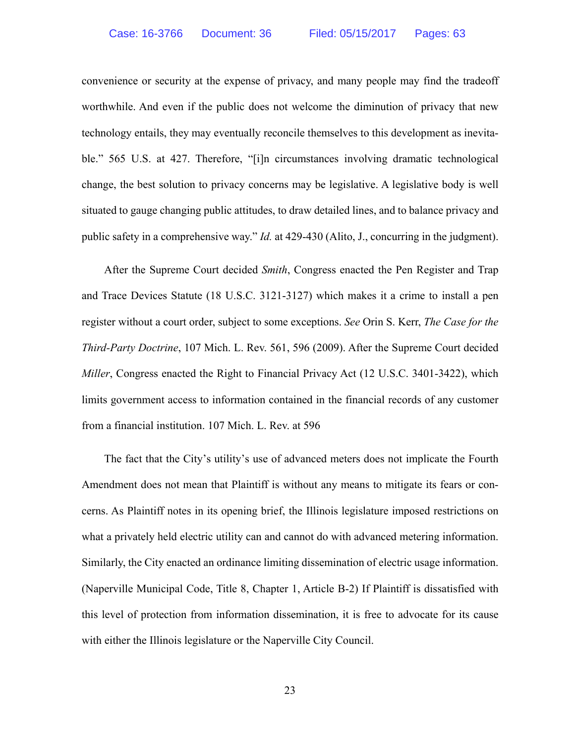convenience or security at the expense of privacy, and many people may find the tradeoff worthwhile. And even if the public does not welcome the diminution of privacy that new technology entails, they may eventually reconcile themselves to this development as inevitable." 565 U.S. at 427. Therefore, "[i]n circumstances involving dramatic technological change, the best solution to privacy concerns may be legislative. A legislative body is well situated to gauge changing public attitudes, to draw detailed lines, and to balance privacy and public safety in a comprehensive way." *Id.* at 429-430 (Alito, J., concurring in the judgment).

 After the Supreme Court decided *Smith*, Congress enacted the Pen Register and Trap and Trace Devices Statute (18 U.S.C. 3121-3127) which makes it a crime to install a pen register without a court order, subject to some exceptions. *See* Orin S. Kerr, *The Case for the Third-Party Doctrine*, 107 Mich. L. Rev. 561, 596 (2009). After the Supreme Court decided *Miller*, Congress enacted the Right to Financial Privacy Act (12 U.S.C. 3401-3422), which limits government access to information contained in the financial records of any customer from a financial institution. 107 Mich. L. Rev. at 596

 The fact that the City's utility's use of advanced meters does not implicate the Fourth Amendment does not mean that Plaintiff is without any means to mitigate its fears or concerns. As Plaintiff notes in its opening brief, the Illinois legislature imposed restrictions on what a privately held electric utility can and cannot do with advanced metering information. Similarly, the City enacted an ordinance limiting dissemination of electric usage information. (Naperville Municipal Code, Title 8, Chapter 1, Article B-2) If Plaintiff is dissatisfied with this level of protection from information dissemination, it is free to advocate for its cause with either the Illinois legislature or the Naperville City Council.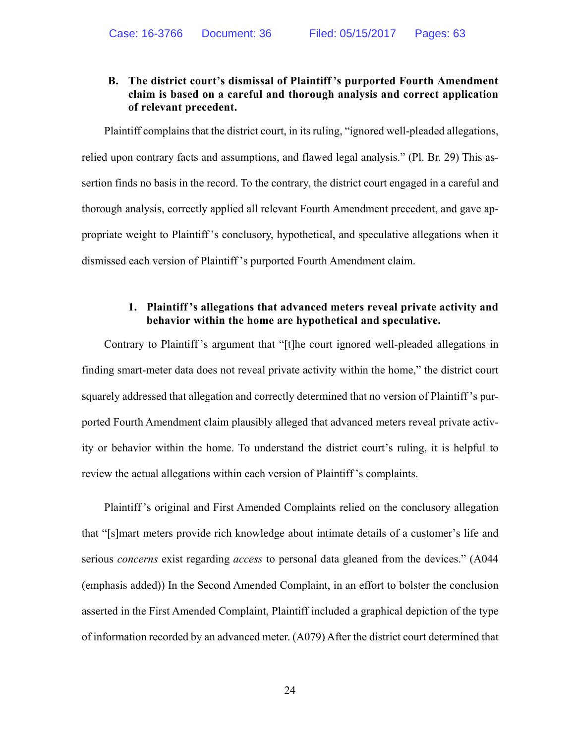## **B. The district court's dismissal of Plaintiff 's purported Fourth Amendment claim is based on a careful and thorough analysis and correct application of relevant precedent.**

 Plaintiff complains that the district court, in its ruling, "ignored well-pleaded allegations, relied upon contrary facts and assumptions, and flawed legal analysis." (Pl. Br. 29) This assertion finds no basis in the record. To the contrary, the district court engaged in a careful and thorough analysis, correctly applied all relevant Fourth Amendment precedent, and gave appropriate weight to Plaintiff 's conclusory, hypothetical, and speculative allegations when it dismissed each version of Plaintiff 's purported Fourth Amendment claim.

## **1. Plaintiff 's allegations that advanced meters reveal private activity and behavior within the home are hypothetical and speculative.**

 Contrary to Plaintiff 's argument that "[t]he court ignored well-pleaded allegations in finding smart-meter data does not reveal private activity within the home," the district court squarely addressed that allegation and correctly determined that no version of Plaintiff 's purported Fourth Amendment claim plausibly alleged that advanced meters reveal private activity or behavior within the home. To understand the district court's ruling, it is helpful to review the actual allegations within each version of Plaintiff 's complaints.

 Plaintiff 's original and First Amended Complaints relied on the conclusory allegation that "[s]mart meters provide rich knowledge about intimate details of a customer's life and serious *concerns* exist regarding *access* to personal data gleaned from the devices." (A044 (emphasis added)) In the Second Amended Complaint, in an effort to bolster the conclusion asserted in the First Amended Complaint, Plaintiff included a graphical depiction of the type of information recorded by an advanced meter. (A079) After the district court determined that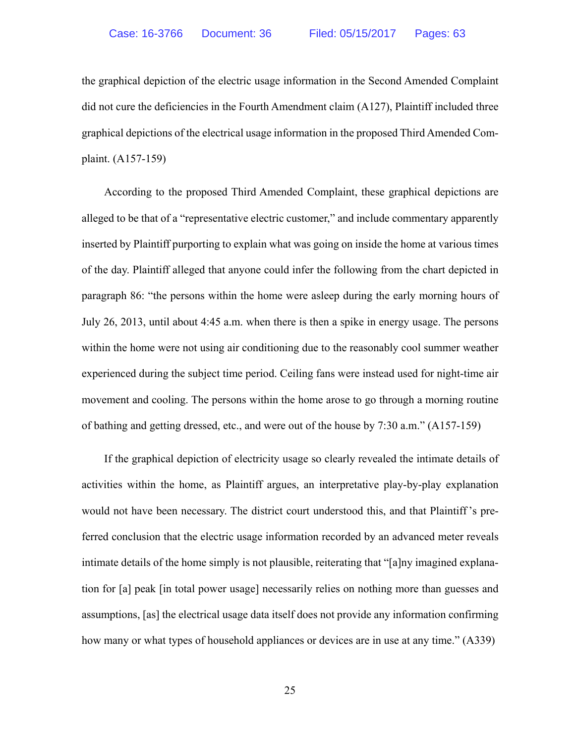the graphical depiction of the electric usage information in the Second Amended Complaint did not cure the deficiencies in the Fourth Amendment claim (A127), Plaintiff included three graphical depictions of the electrical usage information in the proposed Third Amended Complaint. (A157-159)

 According to the proposed Third Amended Complaint, these graphical depictions are alleged to be that of a "representative electric customer," and include commentary apparently inserted by Plaintiff purporting to explain what was going on inside the home at various times of the day. Plaintiff alleged that anyone could infer the following from the chart depicted in paragraph 86: "the persons within the home were asleep during the early morning hours of July 26, 2013, until about 4:45 a.m. when there is then a spike in energy usage. The persons within the home were not using air conditioning due to the reasonably cool summer weather experienced during the subject time period. Ceiling fans were instead used for night-time air movement and cooling. The persons within the home arose to go through a morning routine of bathing and getting dressed, etc., and were out of the house by 7:30 a.m." (A157-159)

 If the graphical depiction of electricity usage so clearly revealed the intimate details of activities within the home, as Plaintiff argues, an interpretative play-by-play explanation would not have been necessary. The district court understood this, and that Plaintiff 's preferred conclusion that the electric usage information recorded by an advanced meter reveals intimate details of the home simply is not plausible, reiterating that "[a]ny imagined explanation for [a] peak [in total power usage] necessarily relies on nothing more than guesses and assumptions, [as] the electrical usage data itself does not provide any information confirming how many or what types of household appliances or devices are in use at any time." (A339)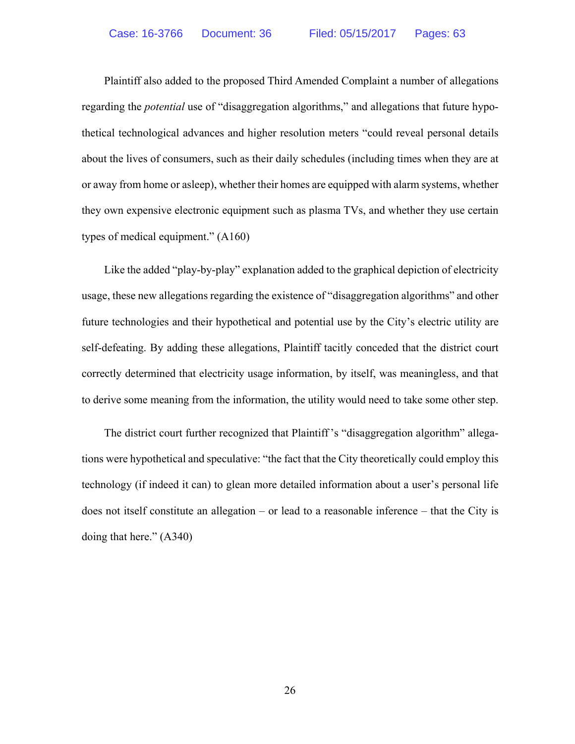Plaintiff also added to the proposed Third Amended Complaint a number of allegations regarding the *potential* use of "disaggregation algorithms," and allegations that future hypothetical technological advances and higher resolution meters "could reveal personal details about the lives of consumers, such as their daily schedules (including times when they are at or away from home or asleep), whether their homes are equipped with alarm systems, whether they own expensive electronic equipment such as plasma TVs, and whether they use certain types of medical equipment." (A160)

 Like the added "play-by-play" explanation added to the graphical depiction of electricity usage, these new allegations regarding the existence of "disaggregation algorithms" and other future technologies and their hypothetical and potential use by the City's electric utility are self-defeating. By adding these allegations, Plaintiff tacitly conceded that the district court correctly determined that electricity usage information, by itself, was meaningless, and that to derive some meaning from the information, the utility would need to take some other step.

 The district court further recognized that Plaintiff 's "disaggregation algorithm" allegations were hypothetical and speculative: "the fact that the City theoretically could employ this technology (if indeed it can) to glean more detailed information about a user's personal life does not itself constitute an allegation – or lead to a reasonable inference – that the City is doing that here." (A340)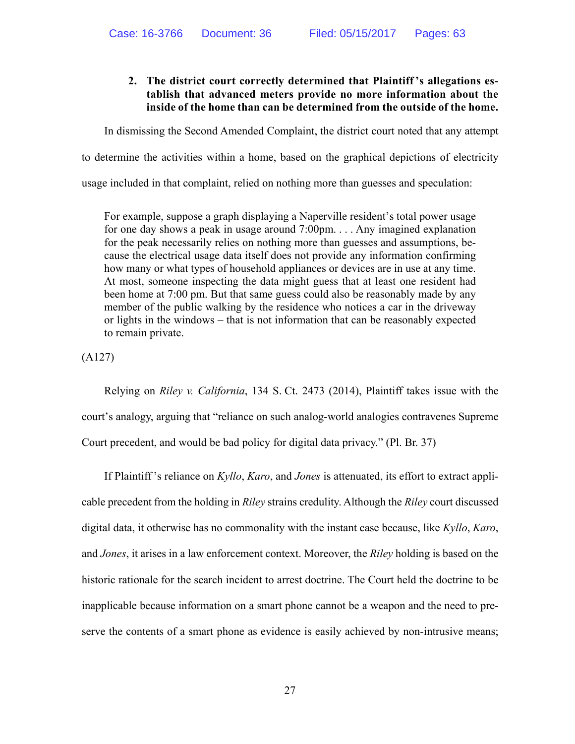## **2. The district court correctly determined that Plaintiff 's allegations establish that advanced meters provide no more information about the inside of the home than can be determined from the outside of the home.**

In dismissing the Second Amended Complaint, the district court noted that any attempt

to determine the activities within a home, based on the graphical depictions of electricity

usage included in that complaint, relied on nothing more than guesses and speculation:

For example, suppose a graph displaying a Naperville resident's total power usage for one day shows a peak in usage around 7:00pm. . . . Any imagined explanation for the peak necessarily relies on nothing more than guesses and assumptions, because the electrical usage data itself does not provide any information confirming how many or what types of household appliances or devices are in use at any time. At most, someone inspecting the data might guess that at least one resident had been home at 7:00 pm. But that same guess could also be reasonably made by any member of the public walking by the residence who notices a car in the driveway or lights in the windows – that is not information that can be reasonably expected to remain private.

(A127)

 Relying on *Riley v. California*, 134 S. Ct. 2473 (2014), Plaintiff takes issue with the court's analogy, arguing that "reliance on such analog-world analogies contravenes Supreme Court precedent, and would be bad policy for digital data privacy." (Pl. Br. 37)

 If Plaintiff 's reliance on *Kyllo*, *Karo*, and *Jones* is attenuated, its effort to extract applicable precedent from the holding in *Riley* strains credulity. Although the *Riley* court discussed digital data, it otherwise has no commonality with the instant case because, like *Kyllo*, *Karo*, and *Jones*, it arises in a law enforcement context. Moreover, the *Riley* holding is based on the historic rationale for the search incident to arrest doctrine. The Court held the doctrine to be inapplicable because information on a smart phone cannot be a weapon and the need to preserve the contents of a smart phone as evidence is easily achieved by non-intrusive means;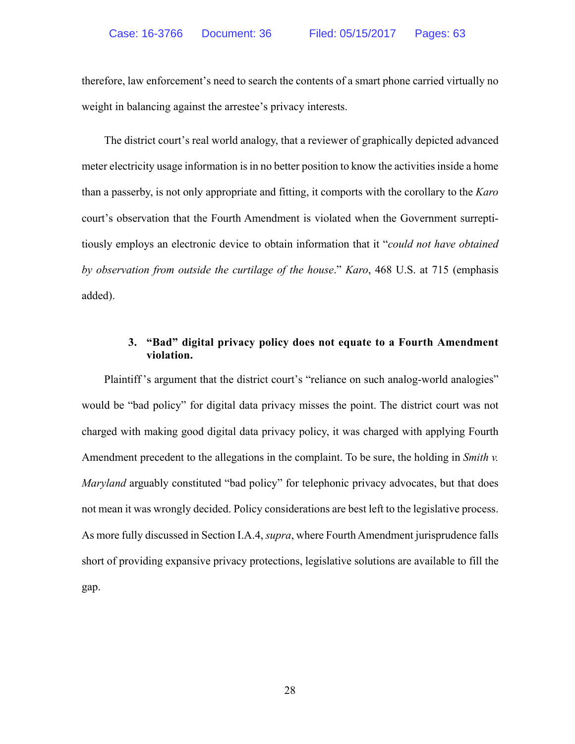therefore, law enforcement's need to search the contents of a smart phone carried virtually no weight in balancing against the arrestee's privacy interests.

 The district court's real world analogy, that a reviewer of graphically depicted advanced meter electricity usage information is in no better position to know the activities inside a home than a passerby, is not only appropriate and fitting, it comports with the corollary to the *Karo* court's observation that the Fourth Amendment is violated when the Government surreptitiously employs an electronic device to obtain information that it "*could not have obtained by observation from outside the curtilage of the house*." *Karo*, 468 U.S. at 715 (emphasis added).

## **3. "Bad" digital privacy policy does not equate to a Fourth Amendment violation.**

Plaintiff's argument that the district court's "reliance on such analog-world analogies" would be "bad policy" for digital data privacy misses the point. The district court was not charged with making good digital data privacy policy, it was charged with applying Fourth Amendment precedent to the allegations in the complaint. To be sure, the holding in *Smith v. Maryland* arguably constituted "bad policy" for telephonic privacy advocates, but that does not mean it was wrongly decided. Policy considerations are best left to the legislative process. As more fully discussed in Section I.A.4, *supra*, where Fourth Amendment jurisprudence falls short of providing expansive privacy protections, legislative solutions are available to fill the gap.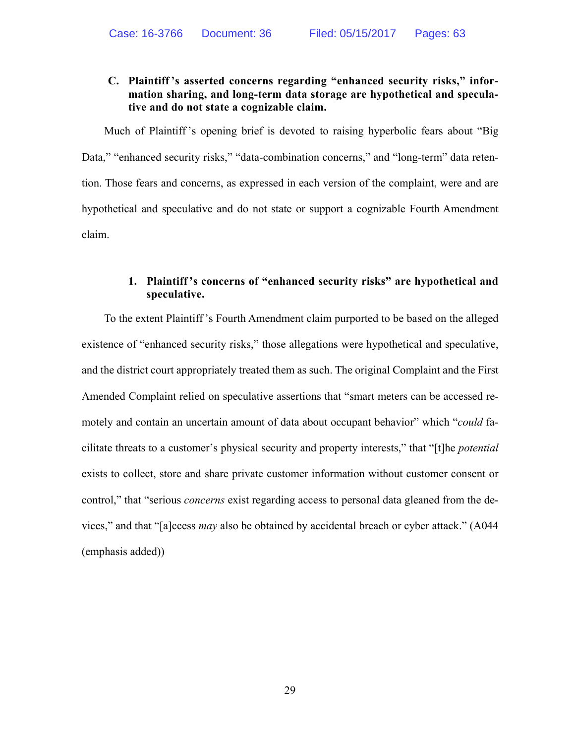## **C. Plaintiff 's asserted concerns regarding "enhanced security risks," information sharing, and long-term data storage are hypothetical and speculative and do not state a cognizable claim.**

 Much of Plaintiff 's opening brief is devoted to raising hyperbolic fears about "Big Data," "enhanced security risks," "data-combination concerns," and "long-term" data retention. Those fears and concerns, as expressed in each version of the complaint, were and are hypothetical and speculative and do not state or support a cognizable Fourth Amendment claim.

## **1. Plaintiff 's concerns of "enhanced security risks" are hypothetical and speculative.**

 To the extent Plaintiff 's Fourth Amendment claim purported to be based on the alleged existence of "enhanced security risks," those allegations were hypothetical and speculative, and the district court appropriately treated them as such. The original Complaint and the First Amended Complaint relied on speculative assertions that "smart meters can be accessed remotely and contain an uncertain amount of data about occupant behavior" which "*could* facilitate threats to a customer's physical security and property interests," that "[t]he *potential*  exists to collect, store and share private customer information without customer consent or control," that "serious *concerns* exist regarding access to personal data gleaned from the devices," and that "[a]ccess *may* also be obtained by accidental breach or cyber attack." (A044 (emphasis added))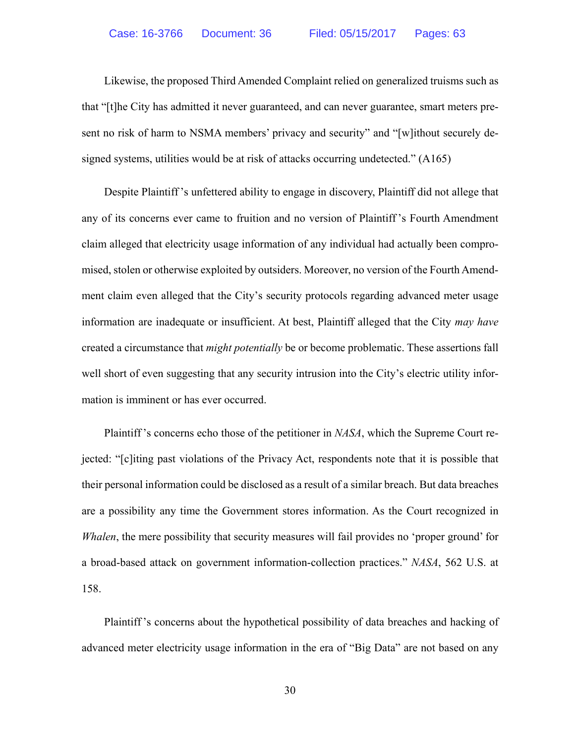Likewise, the proposed Third Amended Complaint relied on generalized truisms such as that "[t]he City has admitted it never guaranteed, and can never guarantee, smart meters present no risk of harm to NSMA members' privacy and security" and "[w]ithout securely designed systems, utilities would be at risk of attacks occurring undetected." (A165)

 Despite Plaintiff 's unfettered ability to engage in discovery, Plaintiff did not allege that any of its concerns ever came to fruition and no version of Plaintiff 's Fourth Amendment claim alleged that electricity usage information of any individual had actually been compromised, stolen or otherwise exploited by outsiders. Moreover, no version of the Fourth Amendment claim even alleged that the City's security protocols regarding advanced meter usage information are inadequate or insufficient. At best, Plaintiff alleged that the City *may have* created a circumstance that *might potentially* be or become problematic. These assertions fall well short of even suggesting that any security intrusion into the City's electric utility information is imminent or has ever occurred.

 Plaintiff 's concerns echo those of the petitioner in *NASA*, which the Supreme Court rejected: "[c]iting past violations of the Privacy Act, respondents note that it is possible that their personal information could be disclosed as a result of a similar breach. But data breaches are a possibility any time the Government stores information. As the Court recognized in *Whalen*, the mere possibility that security measures will fail provides no 'proper ground' for a broad-based attack on government information-collection practices." *NASA*, 562 U.S. at 158.

 Plaintiff 's concerns about the hypothetical possibility of data breaches and hacking of advanced meter electricity usage information in the era of "Big Data" are not based on any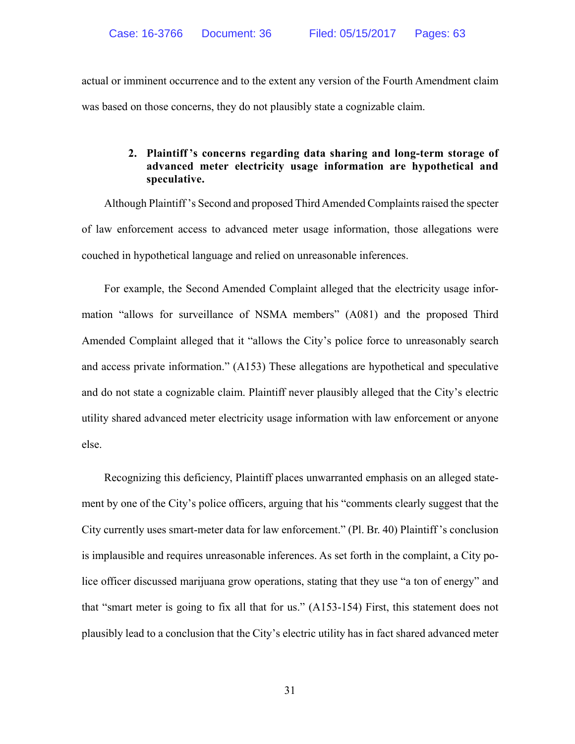actual or imminent occurrence and to the extent any version of the Fourth Amendment claim was based on those concerns, they do not plausibly state a cognizable claim.

## **2. Plaintiff 's concerns regarding data sharing and long-term storage of advanced meter electricity usage information are hypothetical and speculative.**

 Although Plaintiff 's Second and proposed Third Amended Complaints raised the specter of law enforcement access to advanced meter usage information, those allegations were couched in hypothetical language and relied on unreasonable inferences.

 For example, the Second Amended Complaint alleged that the electricity usage information "allows for surveillance of NSMA members" (A081) and the proposed Third Amended Complaint alleged that it "allows the City's police force to unreasonably search and access private information." (A153) These allegations are hypothetical and speculative and do not state a cognizable claim. Plaintiff never plausibly alleged that the City's electric utility shared advanced meter electricity usage information with law enforcement or anyone else.

 Recognizing this deficiency, Plaintiff places unwarranted emphasis on an alleged statement by one of the City's police officers, arguing that his "comments clearly suggest that the City currently uses smart-meter data for law enforcement." (Pl. Br. 40) Plaintiff 's conclusion is implausible and requires unreasonable inferences. As set forth in the complaint, a City police officer discussed marijuana grow operations, stating that they use "a ton of energy" and that "smart meter is going to fix all that for us." (A153-154) First, this statement does not plausibly lead to a conclusion that the City's electric utility has in fact shared advanced meter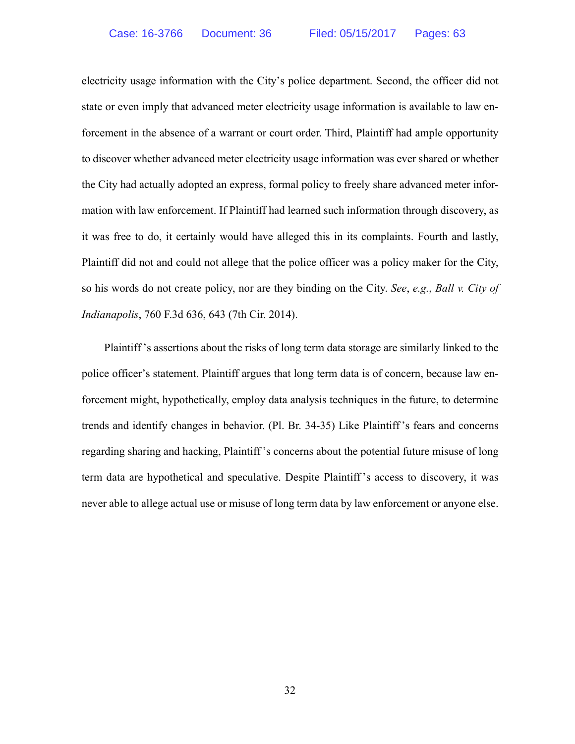electricity usage information with the City's police department. Second, the officer did not state or even imply that advanced meter electricity usage information is available to law enforcement in the absence of a warrant or court order. Third, Plaintiff had ample opportunity to discover whether advanced meter electricity usage information was ever shared or whether the City had actually adopted an express, formal policy to freely share advanced meter information with law enforcement. If Plaintiff had learned such information through discovery, as it was free to do, it certainly would have alleged this in its complaints. Fourth and lastly, Plaintiff did not and could not allege that the police officer was a policy maker for the City, so his words do not create policy, nor are they binding on the City. *See*, *e.g.*, *Ball v. City of Indianapolis*, 760 F.3d 636, 643 (7th Cir. 2014).

 Plaintiff 's assertions about the risks of long term data storage are similarly linked to the police officer's statement. Plaintiff argues that long term data is of concern, because law enforcement might, hypothetically, employ data analysis techniques in the future, to determine trends and identify changes in behavior. (Pl. Br. 34-35) Like Plaintiff 's fears and concerns regarding sharing and hacking, Plaintiff 's concerns about the potential future misuse of long term data are hypothetical and speculative. Despite Plaintiff 's access to discovery, it was never able to allege actual use or misuse of long term data by law enforcement or anyone else.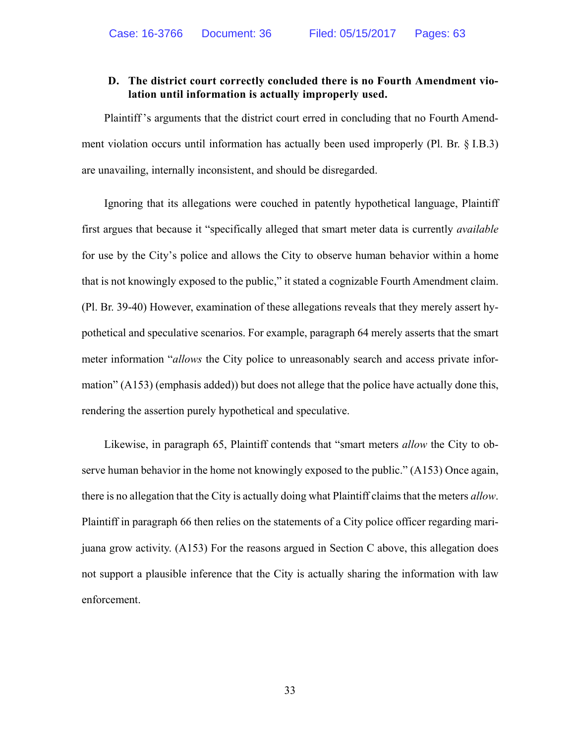## **D. The district court correctly concluded there is no Fourth Amendment violation until information is actually improperly used.**

 Plaintiff 's arguments that the district court erred in concluding that no Fourth Amendment violation occurs until information has actually been used improperly (Pl. Br. § I.B.3) are unavailing, internally inconsistent, and should be disregarded.

 Ignoring that its allegations were couched in patently hypothetical language, Plaintiff first argues that because it "specifically alleged that smart meter data is currently *available*  for use by the City's police and allows the City to observe human behavior within a home that is not knowingly exposed to the public," it stated a cognizable Fourth Amendment claim. (Pl. Br. 39-40) However, examination of these allegations reveals that they merely assert hypothetical and speculative scenarios. For example, paragraph 64 merely asserts that the smart meter information "*allows* the City police to unreasonably search and access private information" (A153) (emphasis added)) but does not allege that the police have actually done this, rendering the assertion purely hypothetical and speculative.

 Likewise, in paragraph 65, Plaintiff contends that "smart meters *allow* the City to observe human behavior in the home not knowingly exposed to the public." (A153) Once again, there is no allegation that the City is actually doing what Plaintiff claims that the meters *allow*. Plaintiff in paragraph 66 then relies on the statements of a City police officer regarding marijuana grow activity. (A153) For the reasons argued in Section C above, this allegation does not support a plausible inference that the City is actually sharing the information with law enforcement.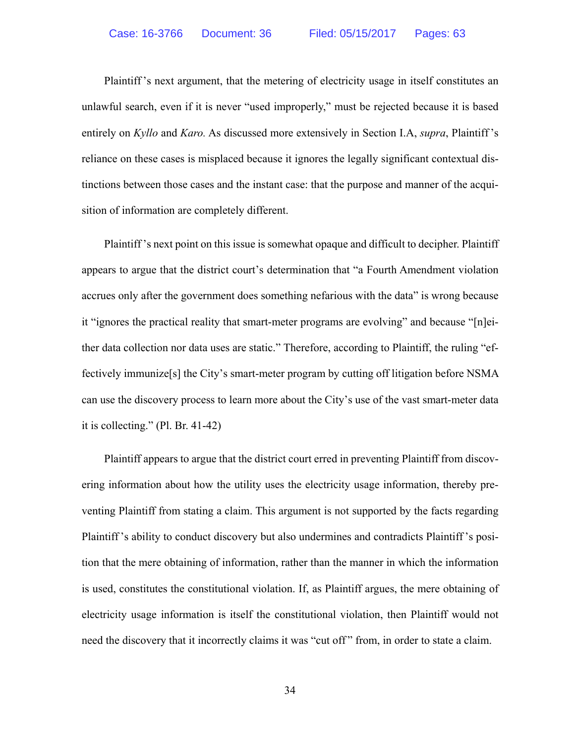Plaintiff 's next argument, that the metering of electricity usage in itself constitutes an unlawful search, even if it is never "used improperly," must be rejected because it is based entirely on *Kyllo* and *Karo.* As discussed more extensively in Section I.A, *supra*, Plaintiff 's reliance on these cases is misplaced because it ignores the legally significant contextual distinctions between those cases and the instant case: that the purpose and manner of the acquisition of information are completely different.

 Plaintiff 's next point on this issue is somewhat opaque and difficult to decipher. Plaintiff appears to argue that the district court's determination that "a Fourth Amendment violation accrues only after the government does something nefarious with the data" is wrong because it "ignores the practical reality that smart-meter programs are evolving" and because "[n]either data collection nor data uses are static." Therefore, according to Plaintiff, the ruling "effectively immunize[s] the City's smart-meter program by cutting off litigation before NSMA can use the discovery process to learn more about the City's use of the vast smart-meter data it is collecting." (Pl. Br. 41-42)

 Plaintiff appears to argue that the district court erred in preventing Plaintiff from discovering information about how the utility uses the electricity usage information, thereby preventing Plaintiff from stating a claim. This argument is not supported by the facts regarding Plaintiff 's ability to conduct discovery but also undermines and contradicts Plaintiff 's position that the mere obtaining of information, rather than the manner in which the information is used, constitutes the constitutional violation. If, as Plaintiff argues, the mere obtaining of electricity usage information is itself the constitutional violation, then Plaintiff would not need the discovery that it incorrectly claims it was "cut off" from, in order to state a claim.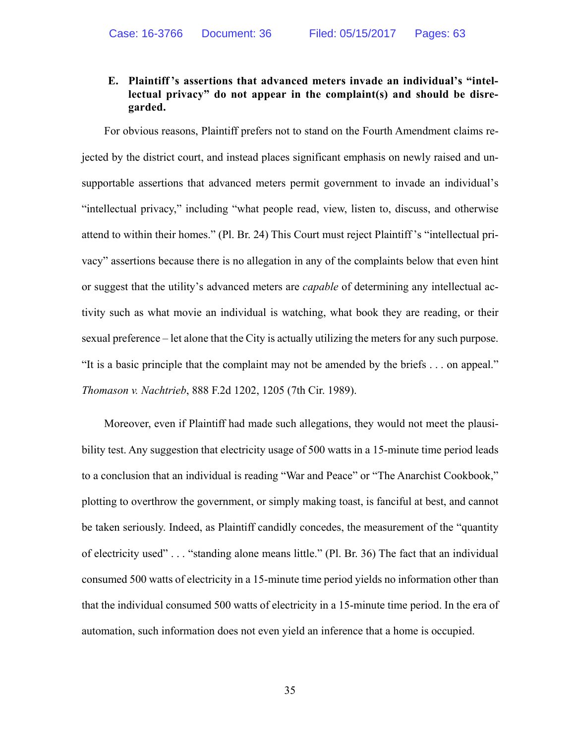## **E. Plaintiff 's assertions that advanced meters invade an individual's "intellectual privacy" do not appear in the complaint(s) and should be disregarded.**

 For obvious reasons, Plaintiff prefers not to stand on the Fourth Amendment claims rejected by the district court, and instead places significant emphasis on newly raised and unsupportable assertions that advanced meters permit government to invade an individual's "intellectual privacy," including "what people read, view, listen to, discuss, and otherwise attend to within their homes." (Pl. Br. 24) This Court must reject Plaintiff 's "intellectual privacy" assertions because there is no allegation in any of the complaints below that even hint or suggest that the utility's advanced meters are *capable* of determining any intellectual activity such as what movie an individual is watching, what book they are reading, or their sexual preference – let alone that the City is actually utilizing the meters for any such purpose. "It is a basic principle that the complaint may not be amended by the briefs . . . on appeal." *Thomason v. Nachtrieb*, 888 F.2d 1202, 1205 (7th Cir. 1989).

 Moreover, even if Plaintiff had made such allegations, they would not meet the plausibility test. Any suggestion that electricity usage of 500 watts in a 15-minute time period leads to a conclusion that an individual is reading "War and Peace" or "The Anarchist Cookbook," plotting to overthrow the government, or simply making toast, is fanciful at best, and cannot be taken seriously. Indeed, as Plaintiff candidly concedes, the measurement of the "quantity of electricity used" . . . "standing alone means little." (Pl. Br. 36) The fact that an individual consumed 500 watts of electricity in a 15-minute time period yields no information other than that the individual consumed 500 watts of electricity in a 15-minute time period. In the era of automation, such information does not even yield an inference that a home is occupied.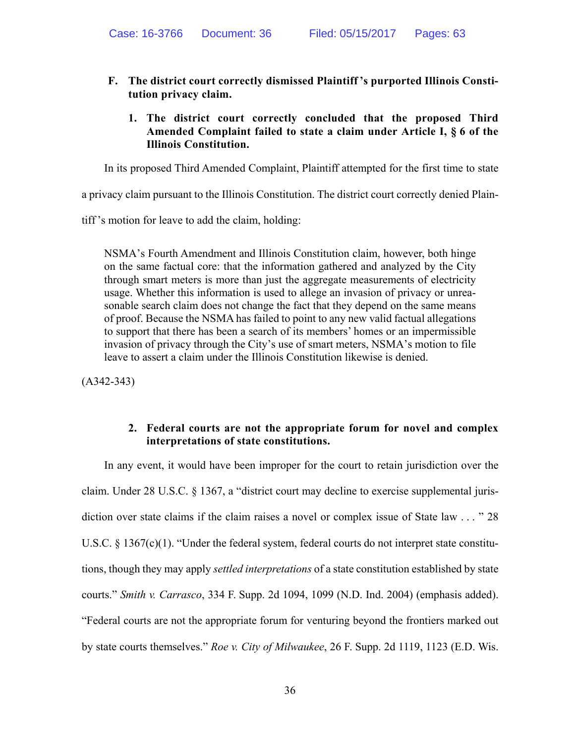- **F. The district court correctly dismissed Plaintiff 's purported Illinois Constitution privacy claim.** 
	- **1. The district court correctly concluded that the proposed Third Amended Complaint failed to state a claim under Article I, § 6 of the Illinois Constitution.**

In its proposed Third Amended Complaint, Plaintiff attempted for the first time to state

a privacy claim pursuant to the Illinois Constitution. The district court correctly denied Plain-

tiff 's motion for leave to add the claim, holding:

NSMA's Fourth Amendment and Illinois Constitution claim, however, both hinge on the same factual core: that the information gathered and analyzed by the City through smart meters is more than just the aggregate measurements of electricity usage. Whether this information is used to allege an invasion of privacy or unreasonable search claim does not change the fact that they depend on the same means of proof. Because the NSMA has failed to point to any new valid factual allegations to support that there has been a search of its members' homes or an impermissible invasion of privacy through the City's use of smart meters, NSMA's motion to file leave to assert a claim under the Illinois Constitution likewise is denied.

(A342-343)

#### **2. Federal courts are not the appropriate forum for novel and complex interpretations of state constitutions.**

 In any event, it would have been improper for the court to retain jurisdiction over the claim. Under 28 U.S.C. § 1367, a "district court may decline to exercise supplemental jurisdiction over state claims if the claim raises a novel or complex issue of State law . . . "28 U.S.C.  $\S$  1367(c)(1). "Under the federal system, federal courts do not interpret state constitutions, though they may apply *settled interpretations* of a state constitution established by state courts." *Smith v. Carrasco*, 334 F. Supp. 2d 1094, 1099 (N.D. Ind. 2004) (emphasis added). "Federal courts are not the appropriate forum for venturing beyond the frontiers marked out by state courts themselves." *Roe v. City of Milwaukee*, 26 F. Supp. 2d 1119, 1123 (E.D. Wis.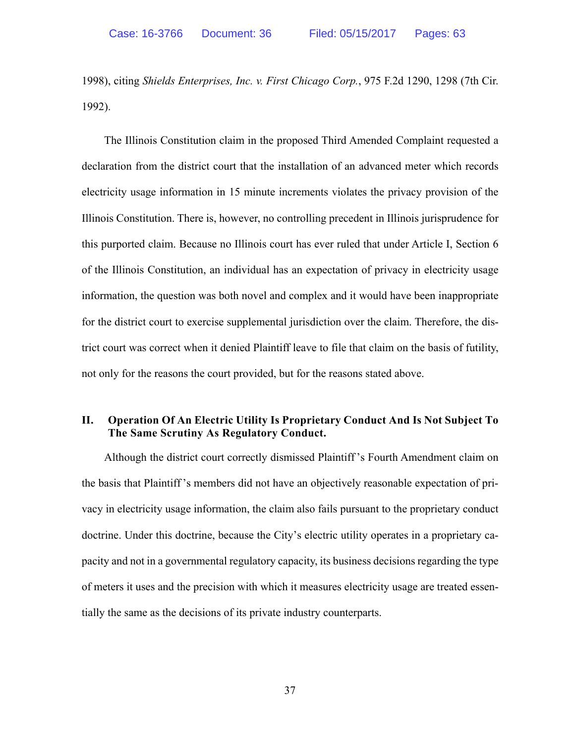1998), citing *Shields Enterprises, Inc. v. First Chicago Corp.*, 975 F.2d 1290, 1298 (7th Cir. 1992).

 The Illinois Constitution claim in the proposed Third Amended Complaint requested a declaration from the district court that the installation of an advanced meter which records electricity usage information in 15 minute increments violates the privacy provision of the Illinois Constitution. There is, however, no controlling precedent in Illinois jurisprudence for this purported claim. Because no Illinois court has ever ruled that under Article I, Section 6 of the Illinois Constitution, an individual has an expectation of privacy in electricity usage information, the question was both novel and complex and it would have been inappropriate for the district court to exercise supplemental jurisdiction over the claim. Therefore, the district court was correct when it denied Plaintiff leave to file that claim on the basis of futility, not only for the reasons the court provided, but for the reasons stated above.

## **II. Operation Of An Electric Utility Is Proprietary Conduct And Is Not Subject To The Same Scrutiny As Regulatory Conduct.**

 Although the district court correctly dismissed Plaintiff 's Fourth Amendment claim on the basis that Plaintiff 's members did not have an objectively reasonable expectation of privacy in electricity usage information, the claim also fails pursuant to the proprietary conduct doctrine. Under this doctrine, because the City's electric utility operates in a proprietary capacity and not in a governmental regulatory capacity, its business decisions regarding the type of meters it uses and the precision with which it measures electricity usage are treated essentially the same as the decisions of its private industry counterparts.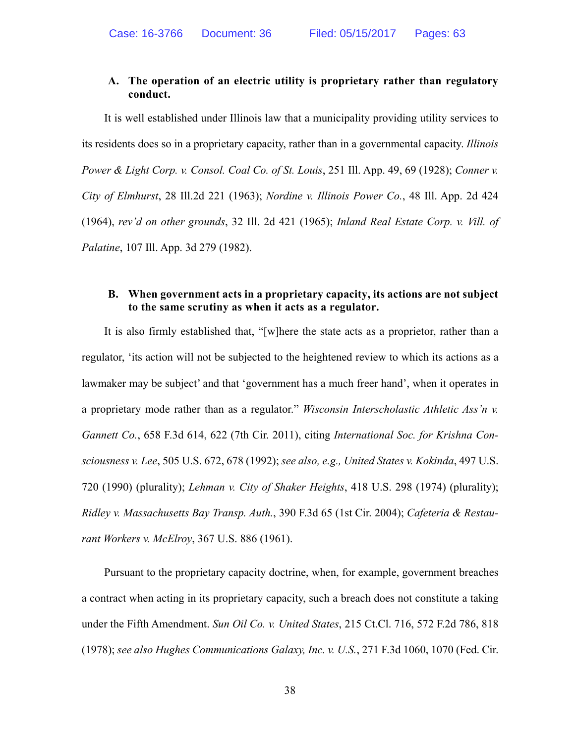## **A. The operation of an electric utility is proprietary rather than regulatory conduct.**

 It is well established under Illinois law that a municipality providing utility services to its residents does so in a proprietary capacity, rather than in a governmental capacity. *Illinois Power & Light Corp. v. Consol. Coal Co. of St. Louis*, 251 Ill. App. 49, 69 (1928); *Conner v. City of Elmhurst*, 28 Ill.2d 221 (1963); *Nordine v. Illinois Power Co.*, 48 Ill. App. 2d 424 (1964), *rev'd on other grounds*, 32 Ill. 2d 421 (1965); *Inland Real Estate Corp. v. Vill. of Palatine*, 107 Ill. App. 3d 279 (1982).

## **B. When government acts in a proprietary capacity, its actions are not subject to the same scrutiny as when it acts as a regulator.**

 It is also firmly established that, "[w]here the state acts as a proprietor, rather than a regulator, 'its action will not be subjected to the heightened review to which its actions as a lawmaker may be subject' and that 'government has a much freer hand', when it operates in a proprietary mode rather than as a regulator." *Wisconsin Interscholastic Athletic Ass'n v. Gannett Co.*, 658 F.3d 614, 622 (7th Cir. 2011), citing *International Soc. for Krishna Consciousness v. Lee*, 505 U.S. 672, 678 (1992); *see also, e.g., United States v. Kokinda*, 497 U.S. 720 (1990) (plurality); *Lehman v. City of Shaker Heights*, 418 U.S. 298 (1974) (plurality); *Ridley v. Massachusetts Bay Transp. Auth.*, 390 F.3d 65 (1st Cir. 2004); *Cafeteria & Restaurant Workers v. McElroy*, 367 U.S. 886 (1961).

 Pursuant to the proprietary capacity doctrine, when, for example, government breaches a contract when acting in its proprietary capacity, such a breach does not constitute a taking under the Fifth Amendment. *Sun Oil Co. v. United States*, 215 Ct.Cl. 716, 572 F.2d 786, 818 (1978); *see also Hughes Communications Galaxy, Inc. v. U.S.*, 271 F.3d 1060, 1070 (Fed. Cir.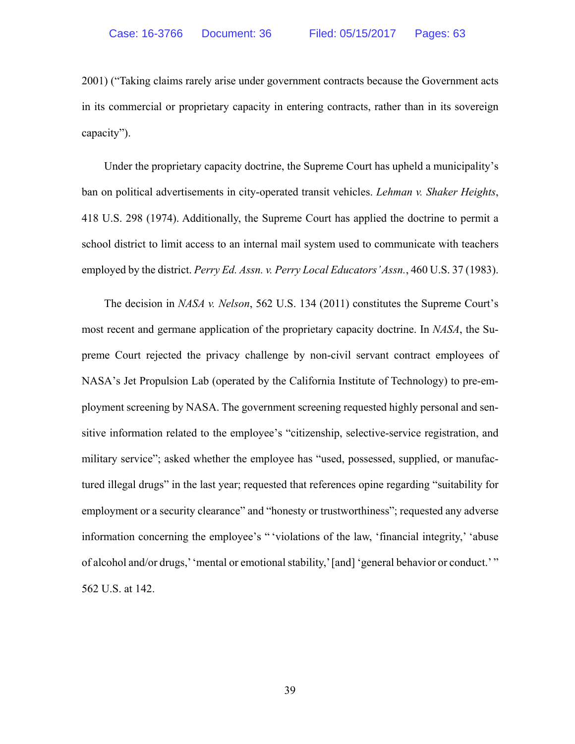2001) ("Taking claims rarely arise under government contracts because the Government acts in its commercial or proprietary capacity in entering contracts, rather than in its sovereign capacity").

 Under the proprietary capacity doctrine, the Supreme Court has upheld a municipality's ban on political advertisements in city-operated transit vehicles. *Lehman v. Shaker Heights*, 418 U.S. 298 (1974). Additionally, the Supreme Court has applied the doctrine to permit a school district to limit access to an internal mail system used to communicate with teachers employed by the district. *Perry Ed. Assn. v. Perry Local Educators' Assn.*, 460 U.S. 37 (1983).

 The decision in *NASA v. Nelson*, 562 U.S. 134 (2011) constitutes the Supreme Court's most recent and germane application of the proprietary capacity doctrine. In *NASA*, the Supreme Court rejected the privacy challenge by non-civil servant contract employees of NASA's Jet Propulsion Lab (operated by the California Institute of Technology) to pre-employment screening by NASA. The government screening requested highly personal and sensitive information related to the employee's "citizenship, selective-service registration, and military service"; asked whether the employee has "used, possessed, supplied, or manufactured illegal drugs" in the last year; requested that references opine regarding "suitability for employment or a security clearance" and "honesty or trustworthiness"; requested any adverse information concerning the employee's " 'violations of the law, 'financial integrity,' 'abuse of alcohol and/or drugs,' 'mental or emotional stability,' [and] 'general behavior or conduct.' " 562 U.S. at 142.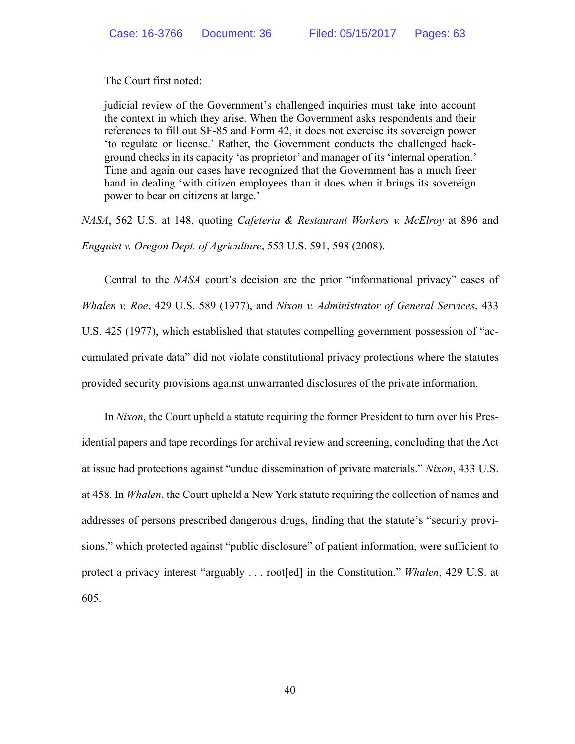The Court first noted:

judicial review of the Government's challenged inquiries must take into account the context in which they arise. When the Government asks respondents and their references to fill out SF-85 and Form 42, it does not exercise its sovereign power 'to regulate or license.' Rather, the Government conducts the challenged background checks in its capacity 'as proprietor' and manager of its 'internal operation.' Time and again our cases have recognized that the Government has a much freer hand in dealing 'with citizen employees than it does when it brings its sovereign power to bear on citizens at large.'

*NASA*, 562 U.S. at 148, quoting *Cafeteria & Restaurant Workers v. McElroy* at 896 and *Engquist v. Oregon Dept. of Agriculture*, 553 U.S. 591, 598 (2008).

 Central to the *NASA* court's decision are the prior "informational privacy" cases of *Whalen v. Roe*, 429 U.S. 589 (1977), and *Nixon v. Administrator of General Services*, 433 U.S. 425 (1977), which established that statutes compelling government possession of "accumulated private data" did not violate constitutional privacy protections where the statutes provided security provisions against unwarranted disclosures of the private information.

 In *Nixon*, the Court upheld a statute requiring the former President to turn over his Presidential papers and tape recordings for archival review and screening, concluding that the Act at issue had protections against "undue dissemination of private materials." *Nixon*, 433 U.S. at 458. In *Whalen*, the Court upheld a New York statute requiring the collection of names and addresses of persons prescribed dangerous drugs, finding that the statute's "security provisions," which protected against "public disclosure" of patient information, were sufficient to protect a privacy interest "arguably . . . root[ed] in the Constitution." *Whalen*, 429 U.S. at 605.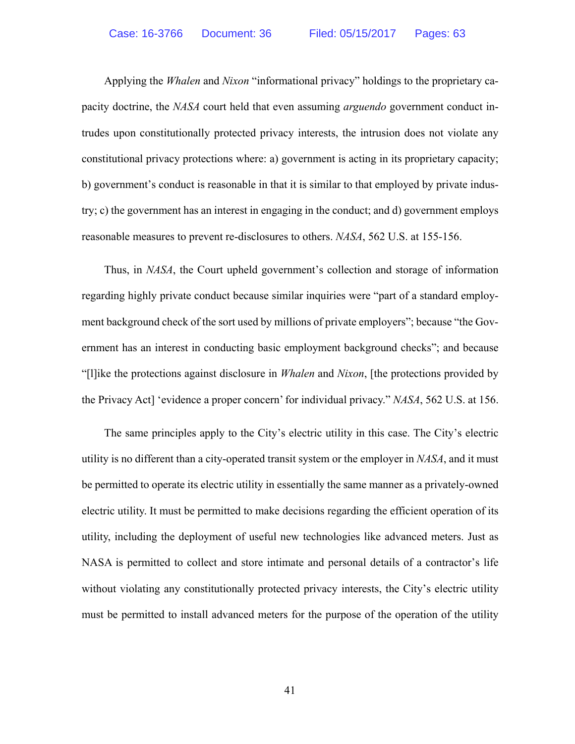Applying the *Whalen* and *Nixon* "informational privacy" holdings to the proprietary capacity doctrine, the *NASA* court held that even assuming *arguendo* government conduct intrudes upon constitutionally protected privacy interests, the intrusion does not violate any constitutional privacy protections where: a) government is acting in its proprietary capacity; b) government's conduct is reasonable in that it is similar to that employed by private industry; c) the government has an interest in engaging in the conduct; and d) government employs reasonable measures to prevent re-disclosures to others. *NASA*, 562 U.S. at 155-156.

 Thus, in *NASA*, the Court upheld government's collection and storage of information regarding highly private conduct because similar inquiries were "part of a standard employment background check of the sort used by millions of private employers"; because "the Government has an interest in conducting basic employment background checks"; and because "[l]ike the protections against disclosure in *Whalen* and *Nixon*, [the protections provided by the Privacy Act] 'evidence a proper concern' for individual privacy." *NASA*, 562 U.S. at 156.

 The same principles apply to the City's electric utility in this case. The City's electric utility is no different than a city-operated transit system or the employer in *NASA*, and it must be permitted to operate its electric utility in essentially the same manner as a privately-owned electric utility. It must be permitted to make decisions regarding the efficient operation of its utility, including the deployment of useful new technologies like advanced meters. Just as NASA is permitted to collect and store intimate and personal details of a contractor's life without violating any constitutionally protected privacy interests, the City's electric utility must be permitted to install advanced meters for the purpose of the operation of the utility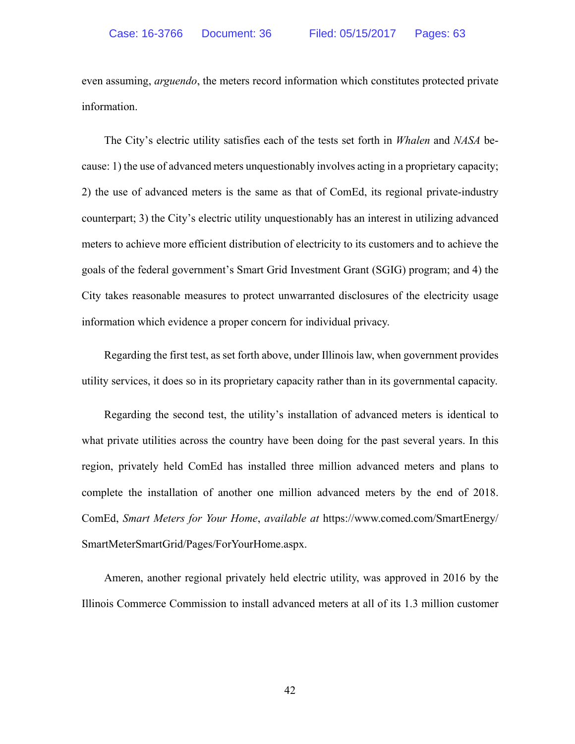even assuming, *arguendo*, the meters record information which constitutes protected private information.

 The City's electric utility satisfies each of the tests set forth in *Whalen* and *NASA* because: 1) the use of advanced meters unquestionably involves acting in a proprietary capacity; 2) the use of advanced meters is the same as that of ComEd, its regional private-industry counterpart; 3) the City's electric utility unquestionably has an interest in utilizing advanced meters to achieve more efficient distribution of electricity to its customers and to achieve the goals of the federal government's Smart Grid Investment Grant (SGIG) program; and 4) the City takes reasonable measures to protect unwarranted disclosures of the electricity usage information which evidence a proper concern for individual privacy.

 Regarding the first test, as set forth above, under Illinois law, when government provides utility services, it does so in its proprietary capacity rather than in its governmental capacity.

 Regarding the second test, the utility's installation of advanced meters is identical to what private utilities across the country have been doing for the past several years. In this region, privately held ComEd has installed three million advanced meters and plans to complete the installation of another one million advanced meters by the end of 2018. ComEd, *Smart Meters for Your Home*, *available at* https://www.comed.com/SmartEnergy/ SmartMeterSmartGrid/Pages/ForYourHome.aspx.

 Ameren, another regional privately held electric utility, was approved in 2016 by the Illinois Commerce Commission to install advanced meters at all of its 1.3 million customer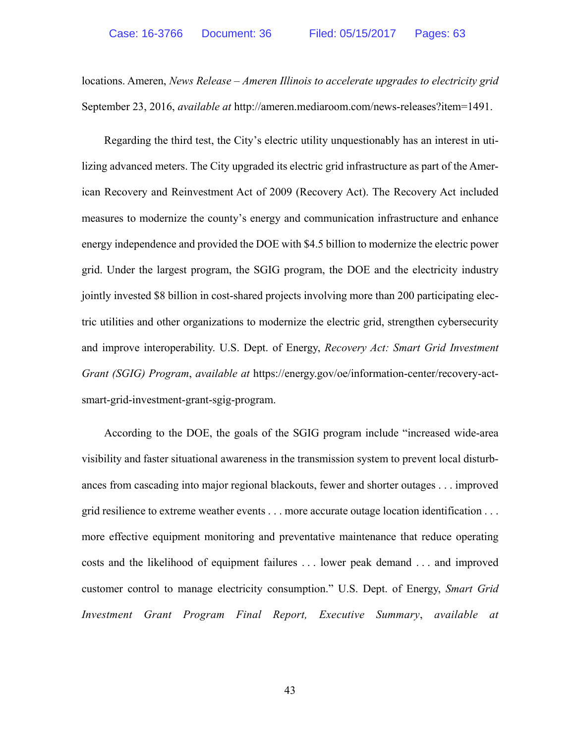locations. Ameren, *News Release – Ameren Illinois to accelerate upgrades to electricity grid* September 23, 2016, *available at* http://ameren.mediaroom.com/news-releases?item=1491.

 Regarding the third test, the City's electric utility unquestionably has an interest in utilizing advanced meters. The City upgraded its electric grid infrastructure as part of the American Recovery and Reinvestment Act of 2009 (Recovery Act). The Recovery Act included measures to modernize the county's energy and communication infrastructure and enhance energy independence and provided the DOE with \$4.5 billion to modernize the electric power grid. Under the largest program, the SGIG program, the DOE and the electricity industry jointly invested \$8 billion in cost-shared projects involving more than 200 participating electric utilities and other organizations to modernize the electric grid, strengthen cybersecurity and improve interoperability. U.S. Dept. of Energy, *Recovery Act: Smart Grid Investment Grant (SGIG) Program*, *available at* https://energy.gov/oe/information-center/recovery-actsmart-grid-investment-grant-sgig-program.

 According to the DOE, the goals of the SGIG program include "increased wide-area visibility and faster situational awareness in the transmission system to prevent local disturbances from cascading into major regional blackouts, fewer and shorter outages . . . improved grid resilience to extreme weather events . . . more accurate outage location identification . . . more effective equipment monitoring and preventative maintenance that reduce operating costs and the likelihood of equipment failures . . . lower peak demand . . . and improved customer control to manage electricity consumption." U.S. Dept. of Energy, *Smart Grid Investment Grant Program Final Report, Executive Summary*, *available at*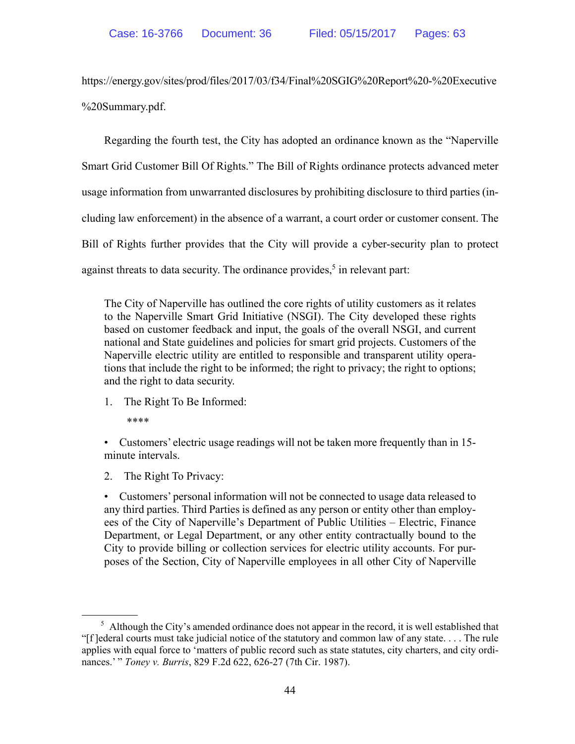https://energy.gov/sites/prod/files/2017/03/f34/Final%20SGIG%20Report%20-%20Executive %20Summary.pdf.

 Regarding the fourth test, the City has adopted an ordinance known as the "Naperville Smart Grid Customer Bill Of Rights." The Bill of Rights ordinance protects advanced meter usage information from unwarranted disclosures by prohibiting disclosure to third parties (including law enforcement) in the absence of a warrant, a court order or customer consent. The Bill of Rights further provides that the City will provide a cyber-security plan to protect against threats to data security. The ordinance provides,<sup>5</sup> in relevant part:

The City of Naperville has outlined the core rights of utility customers as it relates to the Naperville Smart Grid Initiative (NSGI). The City developed these rights based on customer feedback and input, the goals of the overall NSGI, and current national and State guidelines and policies for smart grid projects. Customers of the Naperville electric utility are entitled to responsible and transparent utility operations that include the right to be informed; the right to privacy; the right to options; and the right to data security.

1. The Right To Be Informed:

\*\*\*\*

• Customers' electric usage readings will not be taken more frequently than in 15 minute intervals.

2. The Right To Privacy:

• Customers' personal information will not be connected to usage data released to any third parties. Third Parties is defined as any person or entity other than employees of the City of Naperville's Department of Public Utilities – Electric, Finance Department, or Legal Department, or any other entity contractually bound to the City to provide billing or collection services for electric utility accounts. For purposes of the Section, City of Naperville employees in all other City of Naperville

 $<sup>5</sup>$  Although the City's amended ordinance does not appear in the record, it is well established that</sup> "[f ]ederal courts must take judicial notice of the statutory and common law of any state. . . . The rule applies with equal force to 'matters of public record such as state statutes, city charters, and city ordinances.' " *Toney v. Burris*, 829 F.2d 622, 626-27 (7th Cir. 1987).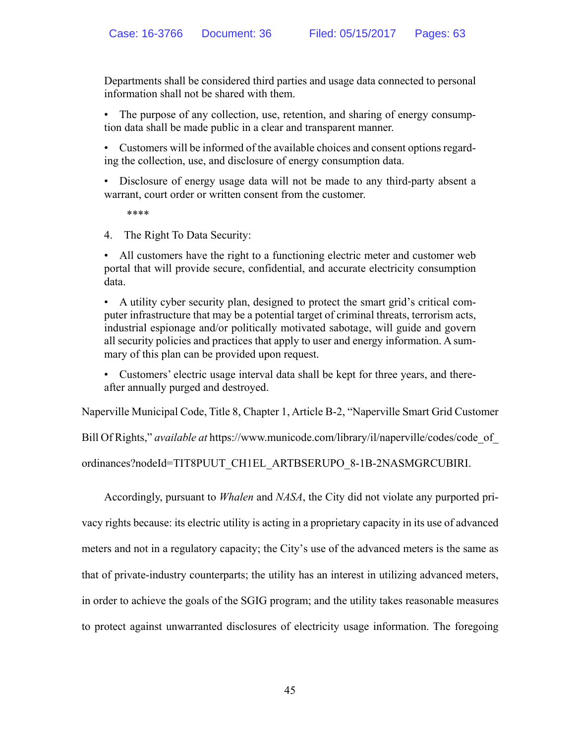Departments shall be considered third parties and usage data connected to personal information shall not be shared with them.

• The purpose of any collection, use, retention, and sharing of energy consumption data shall be made public in a clear and transparent manner.

• Customers will be informed of the available choices and consent options regarding the collection, use, and disclosure of energy consumption data.

• Disclosure of energy usage data will not be made to any third-party absent a warrant, court order or written consent from the customer.

\*\*\*\*

4. The Right To Data Security:

• All customers have the right to a functioning electric meter and customer web portal that will provide secure, confidential, and accurate electricity consumption data.

• A utility cyber security plan, designed to protect the smart grid's critical computer infrastructure that may be a potential target of criminal threats, terrorism acts, industrial espionage and/or politically motivated sabotage, will guide and govern all security policies and practices that apply to user and energy information. A summary of this plan can be provided upon request.

• Customers' electric usage interval data shall be kept for three years, and thereafter annually purged and destroyed.

Naperville Municipal Code, Title 8, Chapter 1, Article B-2, "Naperville Smart Grid Customer

Bill Of Rights," *available at* https://www.municode.com/library/il/naperville/codes/code\_of\_

ordinances?nodeId=TIT8PUUT\_CH1EL\_ARTBSERUPO\_8-1B-2NASMGRCUBIRI.

 Accordingly, pursuant to *Whalen* and *NASA*, the City did not violate any purported privacy rights because: its electric utility is acting in a proprietary capacity in its use of advanced meters and not in a regulatory capacity; the City's use of the advanced meters is the same as that of private-industry counterparts; the utility has an interest in utilizing advanced meters, in order to achieve the goals of the SGIG program; and the utility takes reasonable measures to protect against unwarranted disclosures of electricity usage information. The foregoing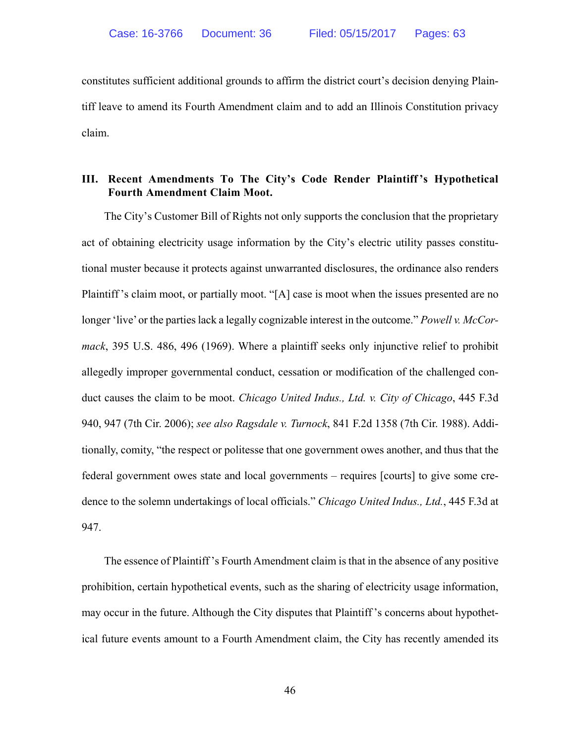constitutes sufficient additional grounds to affirm the district court's decision denying Plaintiff leave to amend its Fourth Amendment claim and to add an Illinois Constitution privacy claim.

#### **III. Recent Amendments To The City's Code Render Plaintiff 's Hypothetical Fourth Amendment Claim Moot.**

 The City's Customer Bill of Rights not only supports the conclusion that the proprietary act of obtaining electricity usage information by the City's electric utility passes constitutional muster because it protects against unwarranted disclosures, the ordinance also renders Plaintiff 's claim moot, or partially moot. "[A] case is moot when the issues presented are no longer 'live' or the parties lack a legally cognizable interest in the outcome." *Powell v. McCormack*, 395 U.S. 486, 496 (1969). Where a plaintiff seeks only injunctive relief to prohibit allegedly improper governmental conduct, cessation or modification of the challenged conduct causes the claim to be moot. *Chicago United Indus., Ltd. v. City of Chicago*, 445 F.3d 940, 947 (7th Cir. 2006); *see also Ragsdale v. Turnock*, 841 F.2d 1358 (7th Cir. 1988). Additionally, comity, "the respect or politesse that one government owes another, and thus that the federal government owes state and local governments – requires [courts] to give some credence to the solemn undertakings of local officials." *Chicago United Indus., Ltd.*, 445 F.3d at 947.

 The essence of Plaintiff 's Fourth Amendment claim is that in the absence of any positive prohibition, certain hypothetical events, such as the sharing of electricity usage information, may occur in the future. Although the City disputes that Plaintiff 's concerns about hypothetical future events amount to a Fourth Amendment claim, the City has recently amended its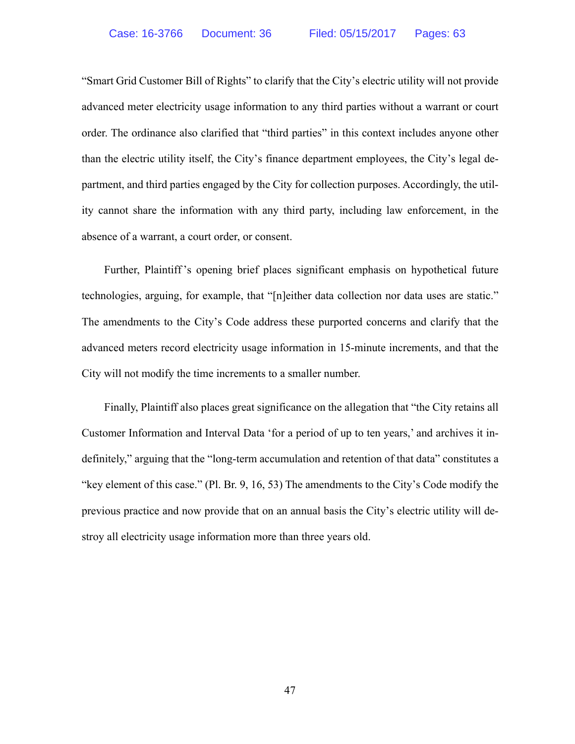"Smart Grid Customer Bill of Rights" to clarify that the City's electric utility will not provide advanced meter electricity usage information to any third parties without a warrant or court order. The ordinance also clarified that "third parties" in this context includes anyone other than the electric utility itself, the City's finance department employees, the City's legal department, and third parties engaged by the City for collection purposes. Accordingly, the utility cannot share the information with any third party, including law enforcement, in the absence of a warrant, a court order, or consent.

 Further, Plaintiff 's opening brief places significant emphasis on hypothetical future technologies, arguing, for example, that "[n]either data collection nor data uses are static." The amendments to the City's Code address these purported concerns and clarify that the advanced meters record electricity usage information in 15-minute increments, and that the City will not modify the time increments to a smaller number.

 Finally, Plaintiff also places great significance on the allegation that "the City retains all Customer Information and Interval Data 'for a period of up to ten years,' and archives it indefinitely," arguing that the "long-term accumulation and retention of that data" constitutes a "key element of this case." (Pl. Br. 9, 16, 53) The amendments to the City's Code modify the previous practice and now provide that on an annual basis the City's electric utility will destroy all electricity usage information more than three years old.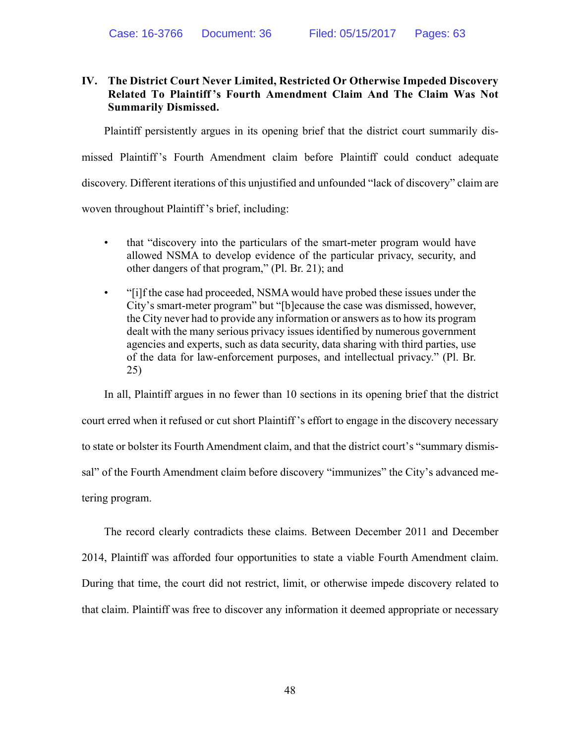## **IV. The District Court Never Limited, Restricted Or Otherwise Impeded Discovery Related To Plaintiff 's Fourth Amendment Claim And The Claim Was Not Summarily Dismissed.**

 Plaintiff persistently argues in its opening brief that the district court summarily dismissed Plaintiff 's Fourth Amendment claim before Plaintiff could conduct adequate discovery. Different iterations of this unjustified and unfounded "lack of discovery" claim are woven throughout Plaintiff's brief, including:

- that "discovery into the particulars of the smart-meter program would have allowed NSMA to develop evidence of the particular privacy, security, and other dangers of that program," (Pl. Br. 21); and
- "[i]f the case had proceeded, NSMA would have probed these issues under the City's smart-meter program" but "[b]ecause the case was dismissed, however, the City never had to provide any information or answers as to how its program dealt with the many serious privacy issues identified by numerous government agencies and experts, such as data security, data sharing with third parties, use of the data for law-enforcement purposes, and intellectual privacy." (Pl. Br. 25)

 In all, Plaintiff argues in no fewer than 10 sections in its opening brief that the district court erred when it refused or cut short Plaintiff 's effort to engage in the discovery necessary to state or bolster its Fourth Amendment claim, and that the district court's "summary dismissal" of the Fourth Amendment claim before discovery "immunizes" the City's advanced metering program.

 The record clearly contradicts these claims. Between December 2011 and December 2014, Plaintiff was afforded four opportunities to state a viable Fourth Amendment claim. During that time, the court did not restrict, limit, or otherwise impede discovery related to that claim. Plaintiff was free to discover any information it deemed appropriate or necessary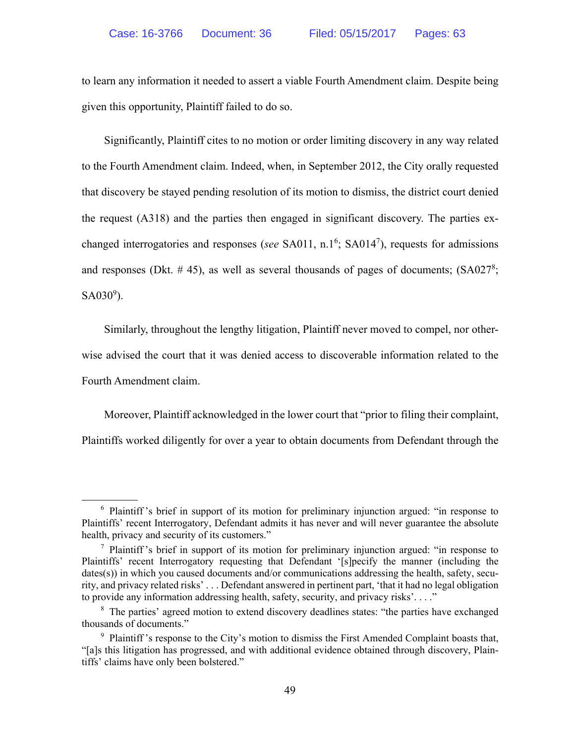to learn any information it needed to assert a viable Fourth Amendment claim. Despite being given this opportunity, Plaintiff failed to do so.

 Significantly, Plaintiff cites to no motion or order limiting discovery in any way related to the Fourth Amendment claim. Indeed, when, in September 2012, the City orally requested that discovery be stayed pending resolution of its motion to dismiss, the district court denied the request (A318) and the parties then engaged in significant discovery. The parties exchanged interrogatories and responses (*see* SA011, n.1<sup>6</sup>; SA014<sup>7</sup>), requests for admissions and responses (Dkt.  $# 45$ ), as well as several thousands of pages of documents;  $(SA027<sup>8</sup>)$ ;  $SA030^9$ ).

 Similarly, throughout the lengthy litigation, Plaintiff never moved to compel, nor otherwise advised the court that it was denied access to discoverable information related to the Fourth Amendment claim.

Moreover, Plaintiff acknowledged in the lower court that "prior to filing their complaint,

Plaintiffs worked diligently for over a year to obtain documents from Defendant through the

<sup>&</sup>lt;sup>6</sup> Plaintiff's brief in support of its motion for preliminary injunction argued: "in response to Plaintiffs' recent Interrogatory, Defendant admits it has never and will never guarantee the absolute health, privacy and security of its customers."

<sup>&</sup>lt;sup>7</sup> Plaintiff's brief in support of its motion for preliminary injunction argued: "in response to Plaintiffs' recent Interrogatory requesting that Defendant '[s]pecify the manner (including the dates(s)) in which you caused documents and/or communications addressing the health, safety, security, and privacy related risks' . . . Defendant answered in pertinent part, 'that it had no legal obligation to provide any information addressing health, safety, security, and privacy risks'. . . ."

<sup>&</sup>lt;sup>8</sup> The parties' agreed motion to extend discovery deadlines states: "the parties have exchanged thousands of documents."

<sup>&</sup>lt;sup>9</sup> Plaintiff's response to the City's motion to dismiss the First Amended Complaint boasts that, "[a]s this litigation has progressed, and with additional evidence obtained through discovery, Plaintiffs' claims have only been bolstered."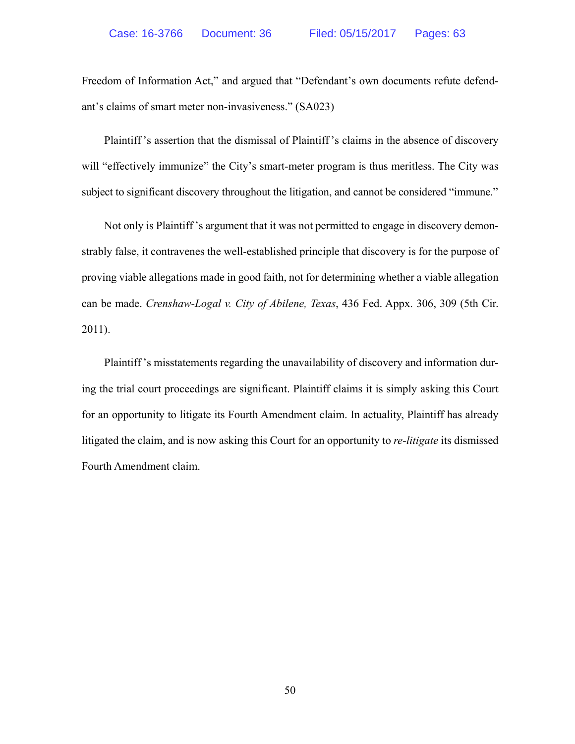Freedom of Information Act," and argued that "Defendant's own documents refute defendant's claims of smart meter non-invasiveness." (SA023)

 Plaintiff 's assertion that the dismissal of Plaintiff 's claims in the absence of discovery will "effectively immunize" the City's smart-meter program is thus meritless. The City was subject to significant discovery throughout the litigation, and cannot be considered "immune."

 Not only is Plaintiff 's argument that it was not permitted to engage in discovery demonstrably false, it contravenes the well-established principle that discovery is for the purpose of proving viable allegations made in good faith, not for determining whether a viable allegation can be made. *Crenshaw-Logal v. City of Abilene, Texas*, 436 Fed. Appx. 306, 309 (5th Cir. 2011).

 Plaintiff 's misstatements regarding the unavailability of discovery and information during the trial court proceedings are significant. Plaintiff claims it is simply asking this Court for an opportunity to litigate its Fourth Amendment claim. In actuality, Plaintiff has already litigated the claim, and is now asking this Court for an opportunity to *re-litigate* its dismissed Fourth Amendment claim.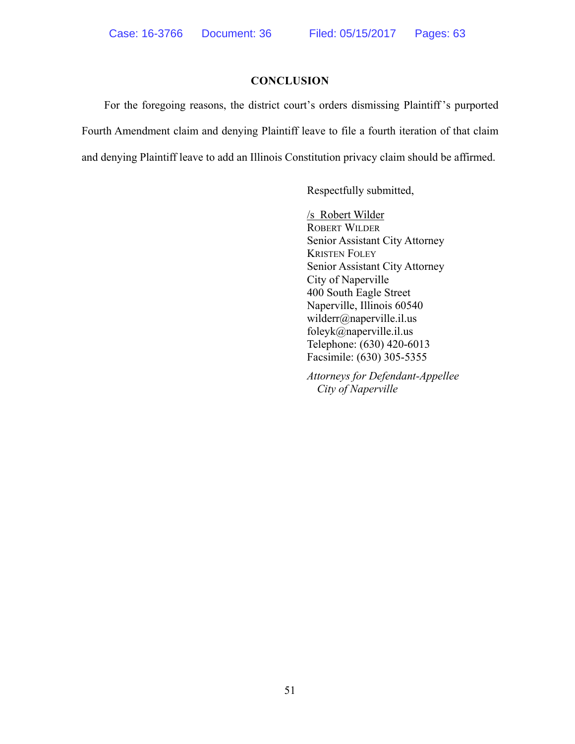#### **CONCLUSION**

 For the foregoing reasons, the district court's orders dismissing Plaintiff 's purported Fourth Amendment claim and denying Plaintiff leave to file a fourth iteration of that claim and denying Plaintiff leave to add an Illinois Constitution privacy claim should be affirmed.

Respectfully submitted,

/s Robert Wilder ROBERT WILDER Senior Assistant City Attorney KRISTEN FOLEY Senior Assistant City Attorney City of Naperville 400 South Eagle Street Naperville, Illinois 60540 wilderr@naperville.il.us foleyk@naperville.il.us Telephone: (630) 420-6013 Facsimile: (630) 305-5355

*Attorneys for Defendant-Appellee City of Naperville*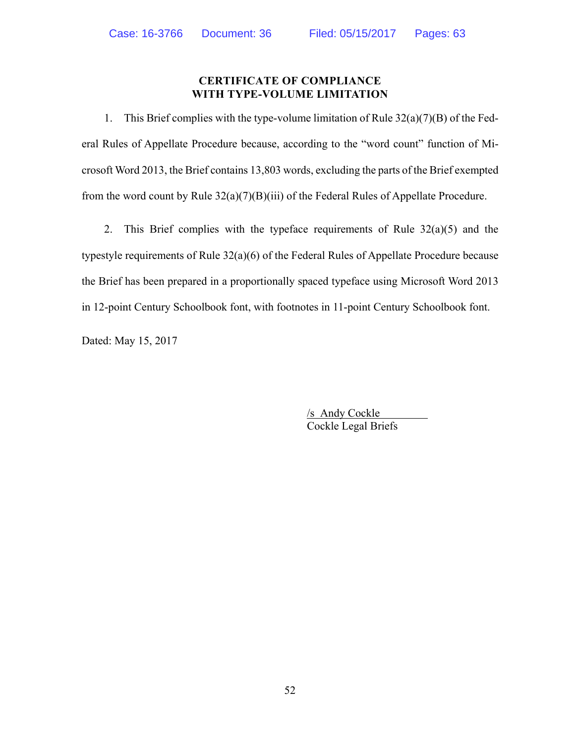## **CERTIFICATE OF COMPLIANCE WITH TYPE-VOLUME LIMITATION**

 1. This Brief complies with the type-volume limitation of Rule 32(a)(7)(B) of the Federal Rules of Appellate Procedure because, according to the "word count" function of Microsoft Word 2013, the Brief contains 13,803 words, excluding the parts of the Brief exempted from the word count by Rule  $32(a)(7)(B)(iii)$  of the Federal Rules of Appellate Procedure.

2. This Brief complies with the typeface requirements of Rule  $32(a)(5)$  and the typestyle requirements of Rule 32(a)(6) of the Federal Rules of Appellate Procedure because the Brief has been prepared in a proportionally spaced typeface using Microsoft Word 2013 in 12-point Century Schoolbook font, with footnotes in 11-point Century Schoolbook font.

Dated: May 15, 2017

/s Andy Cockle Cockle Legal Briefs